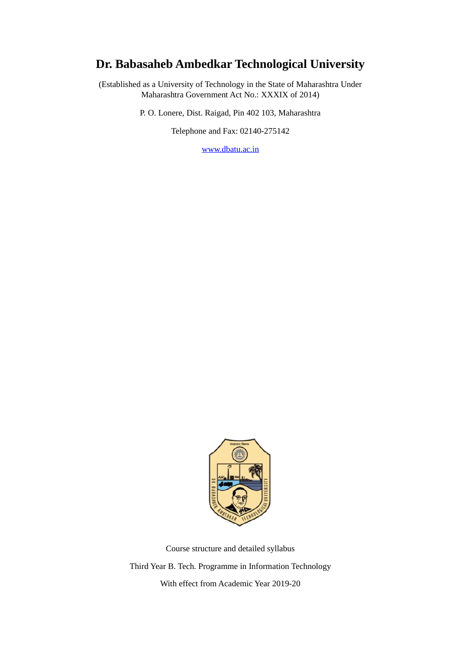# **Dr. Babasaheb Ambedkar Technological University**

(Established as a University of Technology in the State of Maharashtra Under Maharashtra Government Act No.: XXXIX of 2014)

P. O. Lonere, Dist. Raigad, Pin 402 103, Maharashtra

Telephone and Fax: 02140-275142

[www.dbatu.ac.in](http://www.dbatu.ac.in/)



Course structure and detailed syllabus Third Year B. Tech. Programme in Information Technology With effect from Academic Year 2019-20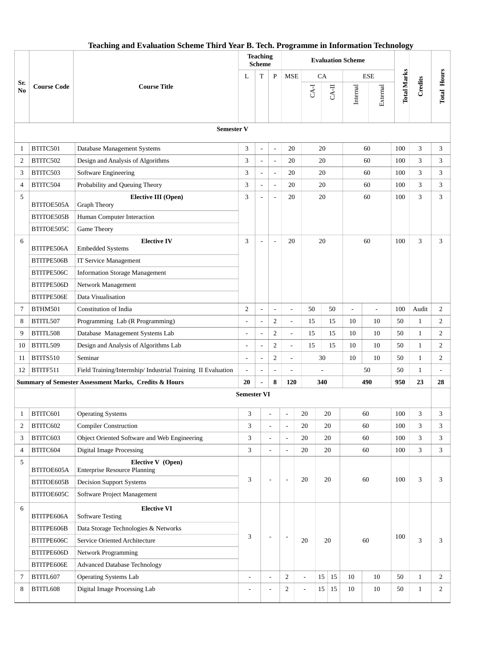|                |                    |                                                                 | <b>Teaching</b><br><b>Scheme</b> |                          | <b>Evaluation Scheme</b> |                          |                          |          |                |                |                    |              |                                                                                                               |
|----------------|--------------------|-----------------------------------------------------------------|----------------------------------|--------------------------|--------------------------|--------------------------|--------------------------|----------|----------------|----------------|--------------------|--------------|---------------------------------------------------------------------------------------------------------------|
|                |                    |                                                                 | L                                | T                        | P                        | <b>MSE</b>               |                          | CA       |                | <b>ESE</b>     |                    |              | <b>Total Hours</b><br>3<br>3<br>3<br>3<br>3<br>3<br>2<br>2<br>2<br>2<br>2<br>28<br>3<br>3<br>3<br>3<br>3<br>3 |
| Sr.<br>No      | <b>Course Code</b> | <b>Course Title</b>                                             |                                  |                          |                          |                          | $CA-I$                   | $CA-II$  | Internal       | External       | <b>Total Marks</b> | Credits      |                                                                                                               |
|                |                    | <b>Semester V</b>                                               |                                  |                          |                          |                          |                          |          |                |                |                    |              |                                                                                                               |
| 1              | BTITC501           | Database Management Systems                                     | 3                                | $\overline{\phantom{a}}$ | $\overline{a}$           | 20                       |                          | 20       |                | 60             | 100                | 3            |                                                                                                               |
| 2              | BTITC502           | Design and Analysis of Algorithms                               | 3                                | $\overline{a}$           | $\overline{a}$           | 20                       |                          | 20       |                | 60             | 100                | 3            |                                                                                                               |
| 3              | BTITC503           | Software Engineering                                            | 3                                | $\overline{\phantom{a}}$ | $\overline{a}$           | 20                       |                          | 20       |                | 60             | 100                | 3            |                                                                                                               |
| $\overline{4}$ | BTITC504           | Probability and Queuing Theory                                  | 3                                | $\overline{\phantom{a}}$ | $\overline{a}$           | 20                       |                          | 20       |                | 60             | 100                | 3            |                                                                                                               |
| 5              | BTITOE505A         | <b>Elective III (Open)</b><br><b>Graph Theory</b>               | 3                                | $\overline{a}$           | $\overline{\phantom{a}}$ | 20                       |                          | 20       |                | 60             | 100                | 3            |                                                                                                               |
|                | BTITOE505B         | Human Computer Interaction                                      |                                  |                          |                          |                          |                          |          |                |                |                    |              |                                                                                                               |
|                | BTITOE505C         | <b>Game Theory</b>                                              |                                  |                          |                          |                          |                          |          |                |                |                    |              |                                                                                                               |
| 6              | BTITPE506A         | <b>Elective IV</b><br><b>Embedded Systems</b>                   | 3                                | $\overline{\phantom{a}}$ | $\overline{a}$           | 20                       |                          | 20       |                | 60             | 100                | 3            |                                                                                                               |
|                | BTITPE506B         | <b>IT Service Management</b>                                    |                                  |                          |                          |                          |                          |          |                |                |                    |              |                                                                                                               |
|                | BTITPE506C         | <b>Information Storage Management</b>                           |                                  |                          |                          |                          |                          |          |                |                |                    |              |                                                                                                               |
|                | BTITPE506D         | Network Management                                              |                                  |                          |                          |                          |                          |          |                |                |                    |              |                                                                                                               |
|                | BTITPE506E         | Data Visualisation                                              |                                  |                          |                          |                          |                          |          |                |                |                    |              |                                                                                                               |
| 7              | BTHM501            | Constitution of India                                           | 2                                | $\overline{\phantom{a}}$ | $\blacksquare$           | $\overline{a}$           | 50                       | 50       | $\overline{a}$ | $\blacksquare$ | 100                | Audit        |                                                                                                               |
| 8              | BTITL507           | Programming Lab (R Programming)                                 |                                  | $\overline{\phantom{a}}$ | $\overline{2}$           | $\overline{a}$           | 15                       | 15       | 10             | 10             | 50                 | $\mathbf{1}$ |                                                                                                               |
| 9              | BTITL508           | Database Management Systems Lab                                 |                                  | $\overline{a}$           | $\overline{2}$           | $\overline{a}$           | 15                       | 15       | 10             | 10             | 50                 | 1            |                                                                                                               |
| 10             | BTITL509           | Design and Analysis of Algorithms Lab                           |                                  | $\overline{\phantom{a}}$ | $\overline{2}$           | $\overline{\phantom{a}}$ | 15                       | 15       | 10             | 10             | 50                 | 1            |                                                                                                               |
| 11             | BTITS510           | Seminar                                                         |                                  | $\overline{a}$           | $\overline{2}$           | $\overline{a}$           |                          | 30       | 10             | 10             | 50                 | $\mathbf{1}$ |                                                                                                               |
| 12             | BTITF511           | Field Training/Internship/ Industrial Training II Evaluation    |                                  | $\blacksquare$           | $\overline{a}$           | $\overline{\phantom{a}}$ | 50                       |          |                | 50             | $\mathbf{1}$       |              |                                                                                                               |
|                |                    | Summary of Semester Assessment Marks, Credits & Hours           | 20                               | $\overline{a}$           | 8                        | 120                      |                          | 340      |                | 490            | 950                | 23           |                                                                                                               |
|                |                    |                                                                 | <b>Semester VI</b>               |                          |                          |                          |                          |          |                |                |                    |              |                                                                                                               |
| 1              | BTITC601           | <b>Operating Systems</b>                                        | 3                                |                          |                          | $\blacksquare$           | 20                       | 20       |                | 60             | 100                | 3            |                                                                                                               |
| 2              | BTITC602           | <b>Compiler Construction</b>                                    | 3                                |                          | $\overline{a}$           | $\overline{a}$           | 20                       | 20       |                | 60             | 100                | 3            |                                                                                                               |
| 3              | BTITC603           | Object Oriented Software and Web Engineering                    | 3                                |                          | L,                       | $\overline{\phantom{a}}$ | 20                       | 20       |                | 60             | 100                | 3            |                                                                                                               |
| 4              | BTITC604           | <b>Digital Image Processing</b>                                 | 3                                |                          | $\overline{\phantom{a}}$ | $\blacksquare$           | 20                       | 20       |                | 60             | 100                | 3            |                                                                                                               |
| 5              | BTITOE605A         | <b>Elective V</b> (Open)<br><b>Enterprise Resource Planning</b> |                                  |                          |                          |                          |                          |          |                |                |                    |              |                                                                                                               |
|                | BTITOE605B         | <b>Decision Support Systems</b>                                 | 3                                |                          | $\overline{a}$           | $\overline{\phantom{a}}$ | 20                       | 20       |                | 60             | 100                | 3            |                                                                                                               |
|                | BTITOE605C         | Software Project Management                                     |                                  |                          |                          |                          |                          |          |                |                |                    |              |                                                                                                               |
| 6              | BTITPE606A         | <b>Elective VI</b><br><b>Software Testing</b>                   |                                  |                          |                          |                          |                          |          |                |                |                    |              |                                                                                                               |
|                | BTITPE606B         | Data Storage Technologies & Networks                            |                                  |                          |                          |                          |                          |          |                |                |                    |              |                                                                                                               |
|                | BTITPE606C         | Service Oriented Architecture                                   | 3                                |                          | $\overline{a}$           | $\overline{\phantom{a}}$ | 20                       | 20       |                | 60             | 100                | 3            |                                                                                                               |
|                | BTITPE606D         | Network Programming                                             |                                  |                          |                          |                          |                          |          |                |                |                    |              |                                                                                                               |
|                | BTITPE606E         | <b>Advanced Database Technology</b>                             |                                  |                          |                          |                          |                          |          |                |                |                    |              |                                                                                                               |
| 7              | BTITL607           | <b>Operating Systems Lab</b>                                    | $\overline{a}$                   |                          | $\overline{\phantom{0}}$ | $\overline{2}$           |                          | 15<br>15 | 10             | 10             | 50                 | $\mathbf{1}$ | $\overline{2}$                                                                                                |
| 8              | BTITL608           | Digital Image Processing Lab                                    | $\overline{a}$                   |                          | L,                       | $\overline{2}$           | $\overline{\phantom{a}}$ | 15<br>15 | 10             | $10\,$         | 50                 | $\mathbf{1}$ | $\overline{2}$                                                                                                |

### **Teaching and Evaluation Scheme Third Year B. Tech. Programme in Information Technology**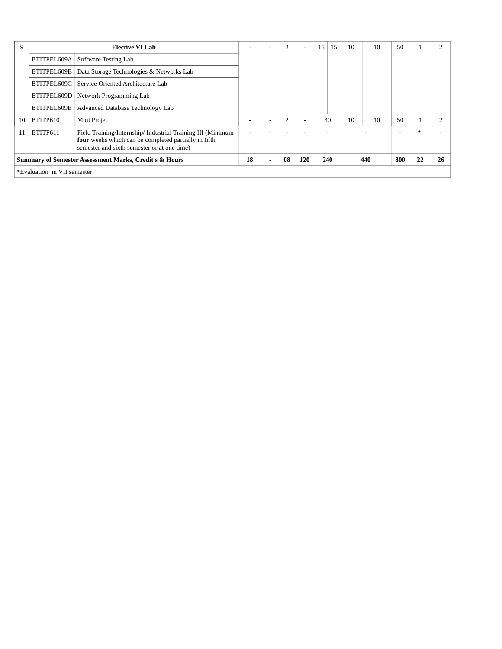| 9                           |             | <b>Elective VI Lab</b>                                                                                                                                             |    |                                                            | $\overline{2}$ |    | 15 | 15 | 10 | 10 | 50 |  |  |
|-----------------------------|-------------|--------------------------------------------------------------------------------------------------------------------------------------------------------------------|----|------------------------------------------------------------|----------------|----|----|----|----|----|----|--|--|
|                             | BTITPEL609A | Software Testing Lab                                                                                                                                               |    |                                                            |                |    |    |    |    |    |    |  |  |
|                             | BTITPEL609B | Data Storage Technologies & Networks Lab                                                                                                                           |    |                                                            |                |    |    |    |    |    |    |  |  |
|                             | BTITPEL609C | Service Oriented Architecture Lab                                                                                                                                  |    |                                                            |                |    |    |    |    |    |    |  |  |
|                             | BTITPEL609D | Network Programming Lab                                                                                                                                            |    |                                                            |                |    |    |    |    |    |    |  |  |
|                             | BTITPEL609E | Advanced Database Technology Lab                                                                                                                                   |    |                                                            |                |    |    |    |    |    |    |  |  |
| 10                          | BTITP610    | Mini Project                                                                                                                                                       |    |                                                            | $\overline{2}$ |    |    | 30 | 10 | 10 | 50 |  |  |
| 11                          | BTITF611    | Field Training/Internship/ Industrial Training III (Minimum<br>four weeks which can be completed partially in fifth<br>semester and sixth semester or at one time) |    |                                                            |                |    |    |    |    |    |    |  |  |
|                             |             | <b>Summary of Semester Assessment Marks, Credit s &amp; Hours</b>                                                                                                  | 18 | 120<br>08<br>240<br>800<br>440<br>$\overline{\phantom{0}}$ |                | 22 | 26 |    |    |    |    |  |  |
| *Evaluation in VII semester |             |                                                                                                                                                                    |    |                                                            |                |    |    |    |    |    |    |  |  |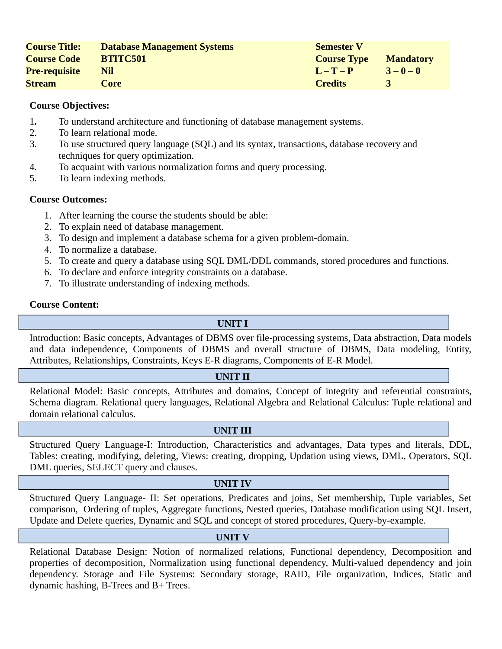| <b>Course Title:</b> | <b>Database Management Systems</b> | <b>Semester V</b>  |                  |
|----------------------|------------------------------------|--------------------|------------------|
| <b>Course Code</b>   | <b>BTITC501</b>                    | <b>Course Type</b> | <b>Mandatory</b> |
| <b>Pre-requisite</b> | Nil                                | $L - T - P$        | $3 - 0 - 0$      |
| <b>Stream</b>        | Core                               | <b>Credits</b>     |                  |

- 1**.** To understand architecture and functioning of database management systems.
- 2. To learn relational mode.
- 3. To use structured query language (SQL) and its syntax, transactions, database recovery and techniques for query optimization.
- 4. To acquaint with various normalization forms and query processing.
- 5. To learn indexing methods.

# **Course Outcomes:**

- 1. After learning the course the students should be able:
- 2. To explain need of database management.
- 3. To design and implement a database schema for a given problem-domain.
- 4. To normalize a database.
- 5. To create and query a database using SQL DML/DDL commands, stored procedures and functions.
- 6. To declare and enforce integrity constraints on a database.
- 7. To illustrate understanding of indexing methods.

#### **Course Content:**

# **UNIT I**

Introduction: Basic concepts, Advantages of DBMS over file-processing systems, Data abstraction, Data models and data independence, Components of DBMS and overall structure of DBMS, Data modeling, Entity, Attributes, Relationships, Constraints, Keys E-R diagrams, Components of E-R Model.

#### **UNIT II**

Relational Model: Basic concepts, Attributes and domains, Concept of integrity and referential constraints, Schema diagram. Relational query languages, Relational Algebra and Relational Calculus: Tuple relational and domain relational calculus.

#### **UNIT III**

Structured Query Language-I: Introduction, Characteristics and advantages, Data types and literals, DDL, Tables: creating, modifying, deleting, Views: creating, dropping, Updation using views, DML, Operators, SQL DML queries, SELECT query and clauses.

#### **UNIT IV**

Structured Query Language- II: Set operations, Predicates and joins, Set membership, Tuple variables, Set comparison, Ordering of tuples, Aggregate functions, Nested queries, Database modification using SQL Insert, Update and Delete queries, Dynamic and SQL and concept of stored procedures, Query-by-example.

## **UNIT V**

Relational Database Design: Notion of normalized relations, Functional dependency, Decomposition and properties of decomposition, Normalization using functional dependency, Multi-valued dependency and join dependency. Storage and File Systems: Secondary storage, RAID, File organization, Indices, Static and dynamic hashing, B-Trees and B+ Trees.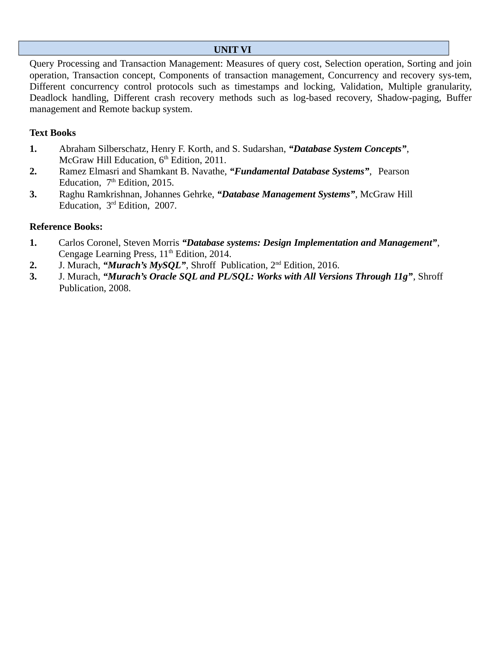# **UNIT VI**

Query Processing and Transaction Management: Measures of query cost, Selection operation, Sorting and join operation, Transaction concept, Components of transaction management, Concurrency and recovery sys-tem, Different concurrency control protocols such as timestamps and locking, Validation, Multiple granularity, Deadlock handling, Different crash recovery methods such as log-based recovery, Shadow-paging, Buffer management and Remote backup system.

# **Text Books**

- **1.** Abraham Silberschatz, Henry F. Korth, and S. Sudarshan, *"Database System Concepts"*, McGraw Hill Education,  $6<sup>th</sup>$  Edition, 2011.
- **2.** Ramez Elmasri and Shamkant B. Navathe, *"Fundamental Database Systems"*, Pearson Education,  $7<sup>th</sup>$  Edition, 2015.
- **3.** Raghu Ramkrishnan, Johannes Gehrke, *"Database Management Systems"*, McGraw Hill Education, 3rd Edition, 2007.

- **1.** Carlos Coronel, Steven Morris *"Database systems: Design Implementation and Management"*, Cengage Learning Press,  $11<sup>th</sup>$  Edition, 2014.
- **2.** J. Murach, *"Murach's MySQL"*, Shroff Publication, 2nd Edition, 2016.
- **3.** J. Murach, *"Murach's Oracle SQL and PL/SQL: Works with All Versions Through 11g"*, Shroff Publication, 2008.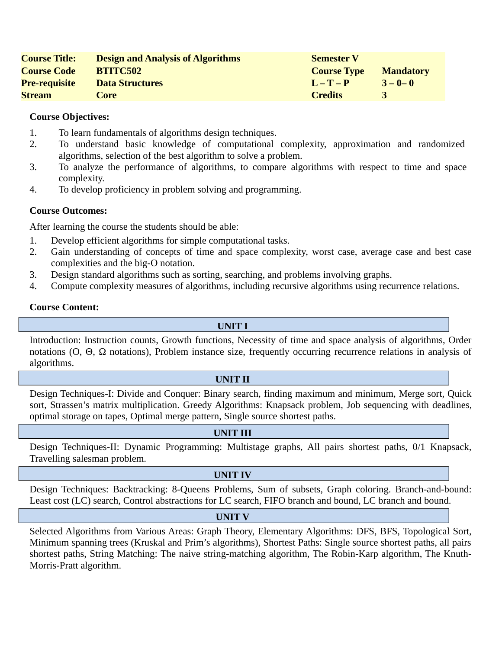| <b>Course Title:</b> | <b>Design and Analysis of Algorithms</b> | <b>Semester V</b>  |                  |
|----------------------|------------------------------------------|--------------------|------------------|
| <b>Course Code</b>   | <b>BTITC502</b>                          | <b>Course Type</b> | <b>Mandatory</b> |
| <b>Pre-requisite</b> | <b>Data Structures</b>                   | $L - T - P$        | $3 - 0 - 0$      |
| <b>Stream</b>        | Core                                     | <b>Credits</b>     |                  |

- 1. To learn fundamentals of algorithms design techniques.
- 2. To understand basic knowledge of computational complexity, approximation and randomized algorithms, selection of the best algorithm to solve a problem.
- 3. To analyze the performance of algorithms, to compare algorithms with respect to time and space complexity.
- 4. To develop proficiency in problem solving and programming.

# **Course Outcomes:**

After learning the course the students should be able:

- 1. Develop efficient algorithms for simple computational tasks.
- 2. Gain understanding of concepts of time and space complexity, worst case, average case and best case complexities and the big-O notation.
- 3. Design standard algorithms such as sorting, searching, and problems involving graphs.
- 4. Compute complexity measures of algorithms, including recursive algorithms using recurrence relations.

#### **Course Content:**

## **UNIT I**

Introduction: Instruction counts, Growth functions, Necessity of time and space analysis of algorithms, Order notations (O, Θ, Ω notations), Problem instance size, frequently occurring recurrence relations in analysis of algorithms.

#### **UNIT II**

Design Techniques-I: Divide and Conquer: Binary search, finding maximum and minimum, Merge sort, Quick sort, Strassen's matrix multiplication. Greedy Algorithms: Knapsack problem, Job sequencing with deadlines, optimal storage on tapes, Optimal merge pattern, Single source shortest paths.

#### **UNIT III**

Design Techniques-II: Dynamic Programming: Multistage graphs, All pairs shortest paths, 0/1 Knapsack, Travelling salesman problem.

#### **UNIT IV**

Design Techniques: Backtracking: 8-Queens Problems, Sum of subsets, Graph coloring. Branch-and-bound: Least cost (LC) search, Control abstractions for LC search, FIFO branch and bound, LC branch and bound.

#### **UNIT V**

Selected Algorithms from Various Areas: Graph Theory, Elementary Algorithms: DFS, BFS, Topological Sort, Minimum spanning trees (Kruskal and Prim's algorithms), Shortest Paths: Single source shortest paths, all pairs shortest paths, String Matching: The naive string-matching algorithm, The Robin-Karp algorithm, The Knuth-Morris-Pratt algorithm.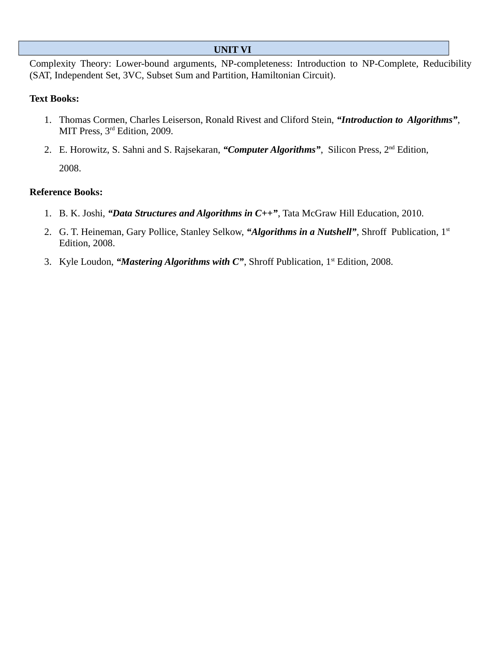### **UNIT VI**

Complexity Theory: Lower-bound arguments, NP-completeness: Introduction to NP-Complete, Reducibility (SAT, Independent Set, 3VC, Subset Sum and Partition, Hamiltonian Circuit).

# **Text Books:**

- 1. Thomas Cormen, Charles Leiserson, Ronald Rivest and Cliford Stein, *"Introduction to Algorithms"*, MIT Press, 3<sup>rd</sup> Edition, 2009.
- 2. E. Horowitz, S. Sahni and S. Rajsekaran, *"Computer Algorithms"*, Silicon Press, 2nd Edition, 2008.

- 1. B. K. Joshi, *"Data Structures and Algorithms in C++"*, Tata McGraw Hill Education, 2010.
- 2. G. T. Heineman, Gary Pollice, Stanley Selkow, *"Algorithms in a Nutshell"*, Shroff Publication, 1st Edition, 2008.
- 3. Kyle Loudon, "*Mastering Algorithms with C*", Shroff Publication, 1<sup>st</sup> Edition, 2008.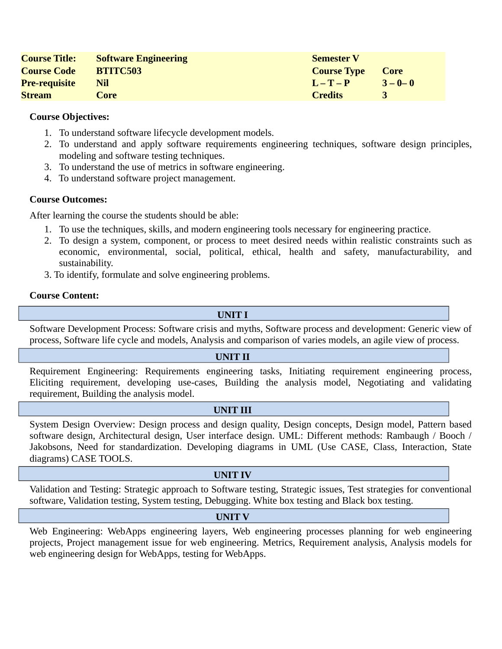| <b>Course Title:</b> | <b>Software Engineering</b> | <b>Semester V</b>  |             |
|----------------------|-----------------------------|--------------------|-------------|
| <b>Course Code</b>   | <b>BTITC503</b>             | <b>Course Type</b> | Core        |
| <b>Pre-requisite</b> | Nil                         | $L - T - P$        | $3 - 0 - 0$ |
| <b>Stream</b>        | Core                        | <b>Credits</b>     |             |

- 1. To understand software lifecycle development models.
- 2. To understand and apply software requirements engineering techniques, software design principles, modeling and software testing techniques.
- 3. To understand the use of metrics in software engineering.
- 4. To understand software project management.

# **Course Outcomes:**

After learning the course the students should be able:

- 1. To use the techniques, skills, and modern engineering tools necessary for engineering practice.
- 2. To design a system, component, or process to meet desired needs within realistic constraints such as economic, environmental, social, political, ethical, health and safety, manufacturability, and sustainability.
- 3. To identify, formulate and solve engineering problems.

#### **Course Content:**

**UNIT I**

Software Development Process: Software crisis and myths, Software process and development: Generic view of process, Software life cycle and models, Analysis and comparison of varies models, an agile view of process.

#### **UNIT II**

Requirement Engineering: Requirements engineering tasks, Initiating requirement engineering process, Eliciting requirement, developing use-cases, Building the analysis model, Negotiating and validating requirement, Building the analysis model.

#### **UNIT III**

System Design Overview: Design process and design quality, Design concepts, Design model, Pattern based software design, Architectural design, User interface design. UML: Different methods: Rambaugh / Booch / Jakobsons, Need for standardization. Developing diagrams in UML (Use CASE, Class, Interaction, State diagrams) CASE TOOLS.

#### **UNIT IV**

Validation and Testing: Strategic approach to Software testing, Strategic issues, Test strategies for conventional software, Validation testing, System testing, Debugging. White box testing and Black box testing.

#### **UNIT V**

Web Engineering: WebApps engineering layers, Web engineering processes planning for web engineering projects, Project management issue for web engineering. Metrics, Requirement analysis, Analysis models for web engineering design for WebApps, testing for WebApps.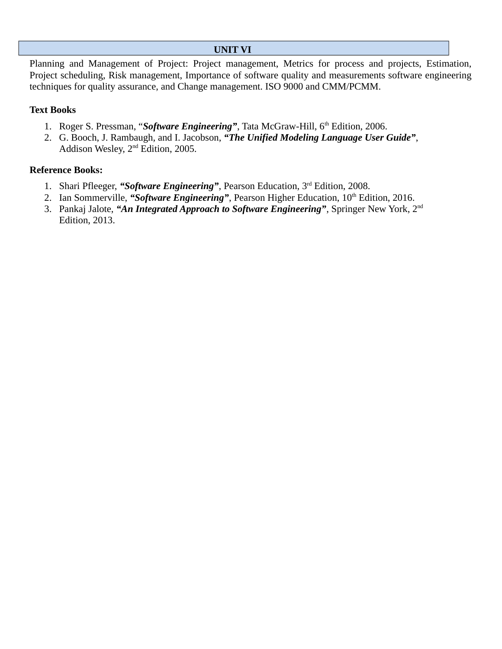# **UNIT VI**

Planning and Management of Project: Project management, Metrics for process and projects, Estimation, Project scheduling, Risk management, Importance of software quality and measurements software engineering techniques for quality assurance, and Change management. ISO 9000 and CMM/PCMM.

# **Text Books**

- 1. Roger S. Pressman, "Software Engineering", Tata McGraw-Hill, 6<sup>th</sup> Edition, 2006.
- 2. G. Booch, J. Rambaugh, and I. Jacobson, *"The Unified Modeling Language User Guide"*, Addison Wesley, 2nd Edition, 2005.

- 1. Shari Pfleeger, *"Software Engineering"*, Pearson Education, 3rd Edition, 2008.
- 2. Ian Sommerville, "Software Engineering", Pearson Higher Education, 10<sup>th</sup> Edition, 2016.
- 3. Pankaj Jalote, *"An Integrated Approach to Software Engineering"*, Springer New York, 2nd Edition, 2013.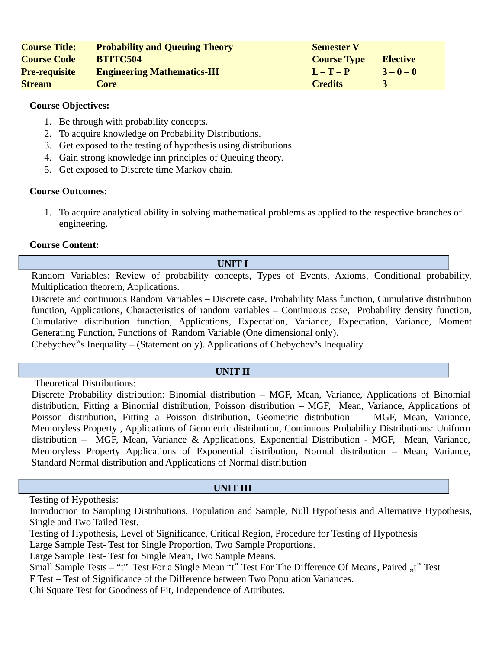| <b>Course Title:</b> | <b>Probability and Queuing Theory</b> | <b>Semester V</b>  |                 |
|----------------------|---------------------------------------|--------------------|-----------------|
| <b>Course Code</b>   | <b>BTITC504</b>                       | <b>Course Type</b> | <b>Elective</b> |
| <b>Pre-requisite</b> | <b>Engineering Mathematics-III</b>    | $L - T - P$        | $3 - 0 - 0$     |
| <b>Stream</b>        | Core                                  | <b>Credits</b>     |                 |

- 1. Be through with probability concepts.
- 2. To acquire knowledge on Probability Distributions.
- 3. Get exposed to the testing of hypothesis using distributions.
- 4. Gain strong knowledge inn principles of Queuing theory.
- 5. Get exposed to Discrete time Markov chain.

# **Course Outcomes:**

1. To acquire analytical ability in solving mathematical problems as applied to the respective branches of engineering.

# **Course Content:**

#### **UNIT I**

Random Variables: Review of probability concepts, Types of Events, Axioms, Conditional probability, Multiplication theorem, Applications.

Discrete and continuous Random Variables – Discrete case, Probability Mass function, Cumulative distribution function, Applications, Characteristics of random variables – Continuous case, Probability density function, Cumulative distribution function, Applications, Expectation, Variance, Expectation, Variance, Moment Generating Function, Functions of Random Variable (One dimensional only).

Chebychev"s Inequality – (Statement only). Applications of Chebychev's Inequality.

#### **UNIT II**

Theoretical Distributions:

Discrete Probability distribution: Binomial distribution – MGF, Mean, Variance, Applications of Binomial distribution, Fitting a Binomial distribution, Poisson distribution – MGF, Mean, Variance, Applications of Poisson distribution, Fitting a Poisson distribution, Geometric distribution – MGF, Mean, Variance, Memoryless Property , Applications of Geometric distribution, Continuous Probability Distributions: Uniform distribution – MGF, Mean, Variance & Applications, Exponential Distribution - MGF, Mean, Variance, Memoryless Property Applications of Exponential distribution, Normal distribution – Mean, Variance, Standard Normal distribution and Applications of Normal distribution

#### **UNIT III**

Testing of Hypothesis:

Introduction to Sampling Distributions, Population and Sample, Null Hypothesis and Alternative Hypothesis, Single and Two Tailed Test.

Testing of Hypothesis, Level of Significance, Critical Region, Procedure for Testing of Hypothesis

Large Sample Test- Test for Single Proportion, Two Sample Proportions.

Large Sample Test- Test for Single Mean, Two Sample Means.

Small Sample Tests – "t" Test For a Single Mean "t" Test For The Difference Of Means, Paired "t" Test F Test – Test of Significance of the Difference between Two Population Variances.

Chi Square Test for Goodness of Fit, Independence of Attributes.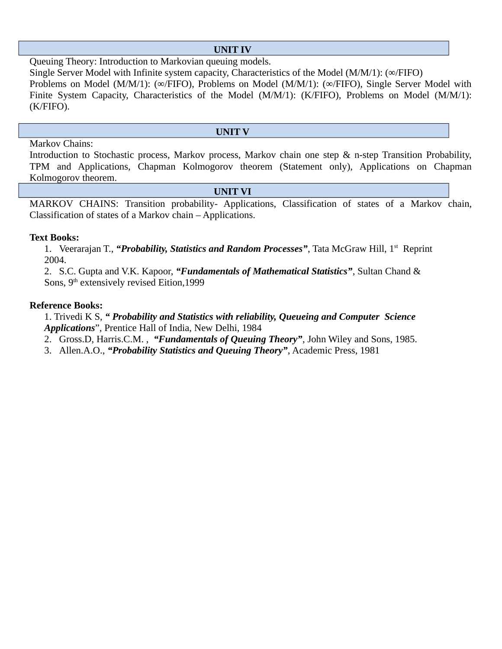# **UNIT IV**

Queuing Theory: Introduction to Markovian queuing models.

Single Server Model with Infinite system capacity, Characteristics of the Model (M/M/1): (∞/FIFO) Problems on Model (M/M/1): (∞/FIFO), Problems on Model (M/M/1): (∞/FIFO), Single Server Model with Finite System Capacity, Characteristics of the Model (M/M/1): (K/FIFO), Problems on Model (M/M/1): (K/FIFO).

#### **UNIT V**

#### Markov Chains:

Introduction to Stochastic process, Markov process, Markov chain one step & n-step Transition Probability, TPM and Applications, Chapman Kolmogorov theorem (Statement only), Applications on Chapman Kolmogorov theorem.

#### **UNIT VI**

MARKOV CHAINS: Transition probability- Applications, Classification of states of a Markov chain, Classification of states of a Markov chain – Applications.

#### **Text Books:**

1. Veerarajan T., *"Probability, Statistics and Random Processes"*, Tata McGraw Hill, 1st Reprint 2004.

2. S.C. Gupta and V.K. Kapoor, *"Fundamentals of Mathematical Statistics"*, Sultan Chand & Sons,  $9<sup>th</sup>$  extensively revised Eition, 1999

#### **Reference Books:**

 1. Trivedi K S, *" Probability and Statistics with reliability, Queueing and Computer Science Applications*", Prentice Hall of India, New Delhi, 1984

2. Gross.D, Harris.C.M. , *"Fundamentals of Queuing Theory"*, John Wiley and Sons, 1985.

3. Allen.A.O., *"Probability Statistics and Queuing Theory"*, Academic Press, 1981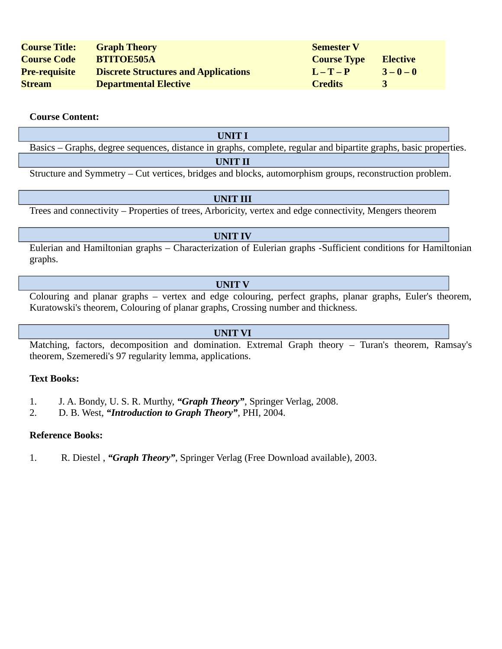| <b>Course Title:</b> | <b>Graph Theory</b>                         | <b>Semester V</b>  |                 |
|----------------------|---------------------------------------------|--------------------|-----------------|
| <b>Course Code</b>   | <b>BTITOE505A</b>                           | <b>Course Type</b> | <b>Elective</b> |
| <b>Pre-requisite</b> | <b>Discrete Structures and Applications</b> | $L-T-P$            | $3 - 0 - 0$     |
| <b>Stream</b>        | <b>Departmental Elective</b>                | <b>Credits</b>     | ર               |

#### **Course Content:**

Basics – Graphs, degree sequences, distance in graphs, complete, regular and bipartite graphs, basic properties.

#### **UNIT II**

Structure and Symmetry – Cut vertices, bridges and blocks, automorphism groups, reconstruction problem.

#### **UNIT III**

Trees and connectivity – Properties of trees, Arboricity, vertex and edge connectivity, Mengers theorem

# **UNIT IV**

Eulerian and Hamiltonian graphs – Characterization of Eulerian graphs -Sufficient conditions for Hamiltonian graphs.

# **UNIT V**

Colouring and planar graphs – vertex and edge colouring, perfect graphs, planar graphs, Euler's theorem, Kuratowski's theorem, Colouring of planar graphs, Crossing number and thickness.

#### **UNIT VI**

Matching, factors, decomposition and domination. Extremal Graph theory – Turan's theorem, Ramsay's theorem, Szemeredi's 97 regularity lemma, applications.

#### **Text Books:**

- 1. J. A. Bondy, U. S. R. Murthy, *"Graph Theory"*, Springer Verlag, 2008.
- 2. D. B. West, *"Introduction to Graph Theory"*, PHI, 2004.

# **Reference Books:**

1. R. Diestel , *"Graph Theory"*, Springer Verlag (Free Download available), 2003.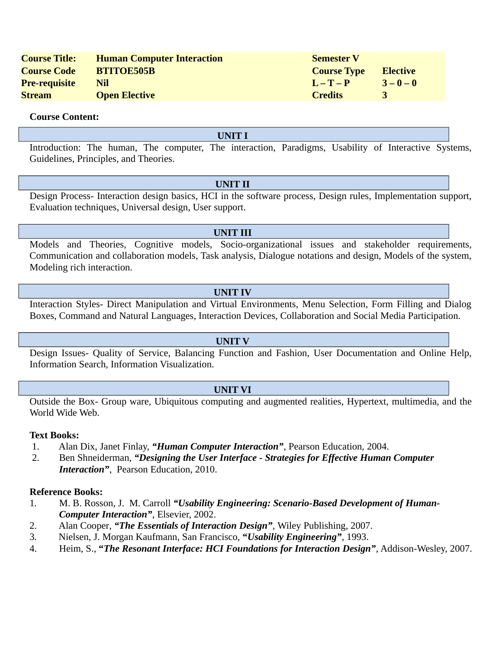| <b>Course Title:</b> | <b>Human Computer Interaction</b> | <b>Semester V</b>  |                 |
|----------------------|-----------------------------------|--------------------|-----------------|
| <b>Course Code</b>   | <b>BTITOE505B</b>                 | <b>Course Type</b> | <b>Elective</b> |
| <b>Pre-requisite</b> | Nil                               | $I - T - P$        | $3 - 0 - 0$     |
| <b>Stream</b>        | <b>Open Elective</b>              | <b>Credits</b>     |                 |

#### **Course Content:**

#### **UNIT I**

Introduction: The human, The computer, The interaction, Paradigms, Usability of Interactive Systems, Guidelines, Principles, and Theories.

#### **UNIT II**

Design Process- Interaction design basics, HCI in the software process, Design rules, Implementation support, Evaluation techniques, Universal design, User support.

#### **UNIT III**

Models and Theories, Cognitive models, Socio-organizational issues and stakeholder requirements, Communication and collaboration models, Task analysis, Dialogue notations and design, Models of the system, Modeling rich interaction.

#### **UNIT IV**

Interaction Styles- Direct Manipulation and Virtual Environments, Menu Selection, Form Filling and Dialog Boxes, Command and Natural Languages, Interaction Devices, Collaboration and Social Media Participation.

#### **UNIT V**

Design Issues- Quality of Service, Balancing Function and Fashion, User Documentation and Online Help, Information Search, Information Visualization.

#### **UNIT VI**

Outside the Box- Group ware, Ubiquitous computing and augmented realities, Hypertext, multimedia, and the World Wide Web.

#### **Text Books:**

- 1. Alan Dix, Janet Finlay, *"Human Computer Interaction"*, Pearson Education, 2004.
- 2. Ben Shneiderman, *"Designing the User Interface Strategies for Effective Human Computer Interaction"*, Pearson Education, 2010.

- 1*.* M. B. Rosson, J. M. Carroll *"Usability Engineering: Scenario-Based Development of Human-Computer Interaction"*, Elsevier, 2002.
- 2. Alan Cooper*, "The Essentials of Interaction Design",* Wiley Publishing, 2007.
- 3*.* Nielsen, J. Morgan Kaufmann, San Francisco, **"***Usability Engineering",* 1993.
- 4. Heim, S., **"***The Resonant Interface: HCI Foundations for Interaction Design"*, Addison-Wesley, 2007.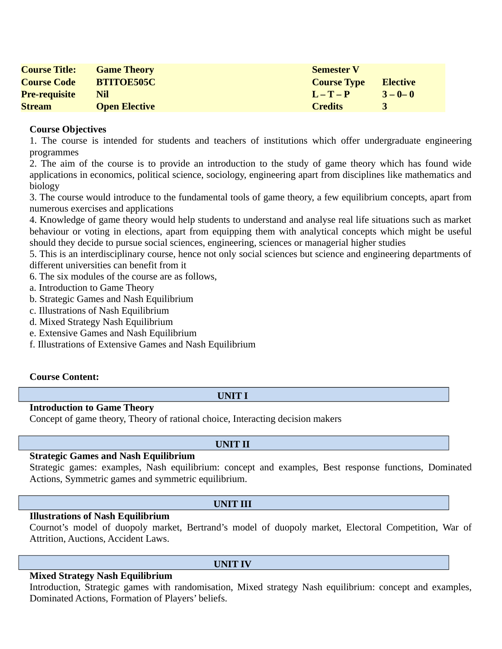| <b>Course Title:</b> | <b>Game Theory</b>   | <b>Semester V</b>  |                 |
|----------------------|----------------------|--------------------|-----------------|
| <b>Course Code</b>   | <b>BTITOE505C</b>    | <b>Course Type</b> | <b>Elective</b> |
| <b>Pre-requisite</b> | Nil                  | $L - T - P$        | $3 - 0 - 0$     |
| <b>Stream</b>        | <b>Open Elective</b> | <b>Credits</b>     |                 |

1. The course is intended for students and teachers of institutions which offer undergraduate engineering programmes

2. The aim of the course is to provide an introduction to the study of game theory which has found wide applications in economics, political science, sociology, engineering apart from disciplines like mathematics and biology

3. The course would introduce to the fundamental tools of game theory, a few equilibrium concepts, apart from numerous exercises and applications

4. Knowledge of game theory would help students to understand and analyse real life situations such as market behaviour or voting in elections, apart from equipping them with analytical concepts which might be useful should they decide to pursue social sciences, engineering, sciences or managerial higher studies

5. This is an interdisciplinary course, hence not only social sciences but science and engineering departments of different universities can benefit from it

6. The six modules of the course are as follows,

a. Introduction to Game Theory

b. Strategic Games and Nash Equilibrium

c. Illustrations of Nash Equilibrium

- d. Mixed Strategy Nash Equilibrium
- e. Extensive Games and Nash Equilibrium
- f. Illustrations of Extensive Games and Nash Equilibrium

#### **Course Content:**

#### **UNIT I**

#### **Introduction to Game Theory**

Concept of game theory, Theory of rational choice, Interacting decision makers

#### **Strategic Games and Nash Equilibrium**

Strategic games: examples, Nash equilibrium: concept and examples, Best response functions, Dominated Actions, Symmetric games and symmetric equilibrium.

#### **Illustrations of Nash Equilibrium**

Cournot's model of duopoly market, Bertrand's model of duopoly market, Electoral Competition, War of Attrition, Auctions, Accident Laws.

#### **Mixed Strategy Nash Equilibrium**

Introduction, Strategic games with randomisation, Mixed strategy Nash equilibrium: concept and examples, Dominated Actions, Formation of Players' beliefs.

# **UNIT II**

# **UNIT III**

**UNIT IV**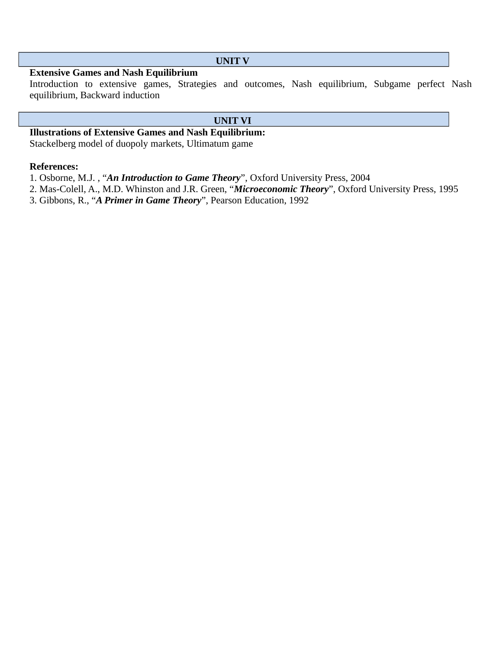#### **UNIT V**

# **Extensive Games and Nash Equilibrium**

Introduction to extensive games, Strategies and outcomes, Nash equilibrium, Subgame perfect Nash equilibrium, Backward induction

#### **UNIT VI**

**Illustrations of Extensive Games and Nash Equilibrium:**

Stackelberg model of duopoly markets, Ultimatum game

# **References:**

1. Osborne, M.J. , "*An Introduction to Game Theory*", Oxford University Press, 2004

2. Mas-Colell, A., M.D. Whinston and J.R. Green, "*Microeconomic Theory*", Oxford University Press, 1995

3. Gibbons, R., "*A Primer in Game Theory*", Pearson Education, 1992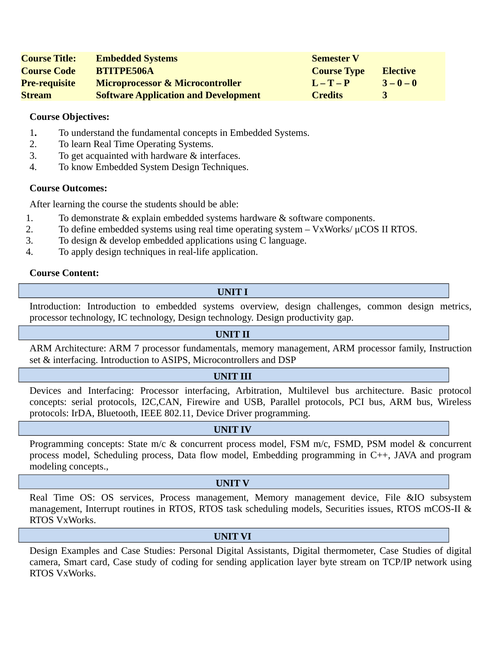| <b>Course Title:</b> | <b>Embedded Systems</b>                     | <b>Semester V</b>  |                 |
|----------------------|---------------------------------------------|--------------------|-----------------|
| <b>Course Code</b>   | <b>BTITPE506A</b>                           | <b>Course Type</b> | <b>Elective</b> |
| <b>Pre-requisite</b> | <b>Microprocessor &amp; Microcontroller</b> | $L - T - P$        | $3 - 0 - 0$     |
| <b>Stream</b>        | <b>Software Application and Development</b> | <b>Credits</b>     |                 |

- 1**.** To understand the fundamental concepts in Embedded Systems.
- 2. To learn Real Time Operating Systems.
- 3. To get acquainted with hardware & interfaces.
- 4. To know Embedded System Design Techniques.

# **Course Outcomes:**

After learning the course the students should be able:

- 1. To demonstrate & explain embedded systems hardware & software components.
- 2. To define embedded systems using real time operating system  $-\frac{V}{XW}$ orks/ $\mu$ COS II RTOS.
- 3. To design & develop embedded applications using C language.
- 4. To apply design techniques in real-life application.

#### **Course Content:**

# **UNIT I**

Introduction: Introduction to embedded systems overview, design challenges, common design metrics, processor technology, IC technology, Design technology. Design productivity gap.

#### **UNIT II**

ARM Architecture: ARM 7 processor fundamentals, memory management, ARM processor family, Instruction set & interfacing. Introduction to ASIPS, Microcontrollers and DSP

#### **UNIT III**

Devices and Interfacing: Processor interfacing, Arbitration, Multilevel bus architecture. Basic protocol concepts: serial protocols, I2C,CAN, Firewire and USB, Parallel protocols, PCI bus, ARM bus, Wireless protocols: IrDA, Bluetooth, IEEE 802.11, Device Driver programming.

#### **UNIT IV**

Programming concepts: State m/c & concurrent process model, FSM m/c, FSMD, PSM model & concurrent process model, Scheduling process, Data flow model, Embedding programming in C++, JAVA and program modeling concepts.,

#### **UNIT V**

Real Time OS: OS services, Process management, Memory management device, File &IO subsystem management, Interrupt routines in RTOS, RTOS task scheduling models, Securities issues, RTOS mCOS-II & RTOS VxWorks.

#### **UNIT VI**

Design Examples and Case Studies: Personal Digital Assistants, Digital thermometer, Case Studies of digital camera, Smart card, Case study of coding for sending application layer byte stream on TCP/IP network using RTOS VxWorks.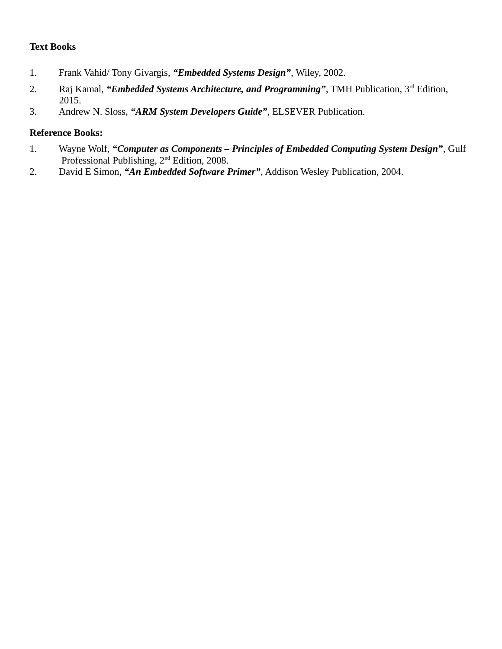# **Text Books**

- 1. Frank Vahid/ Tony Givargis, *"Embedded Systems Design"*, Wiley, 2002.
- 2. Raj Kamal, *"Embedded Systems Architecture, and Programming"*, TMH Publication, 3rd Edition, 2015.
- 3. Andrew N. Sloss, *"ARM System Developers Guide"*, ELSEVER Publication.

- 1. Wayne Wolf, *"Computer as Components Principles of Embedded Computing System Design"*, Gulf Professional Publishing, 2nd Edition, 2008.
- 2. David E Simon, *"An Embedded Software Primer"*, Addison Wesley Publication, 2004.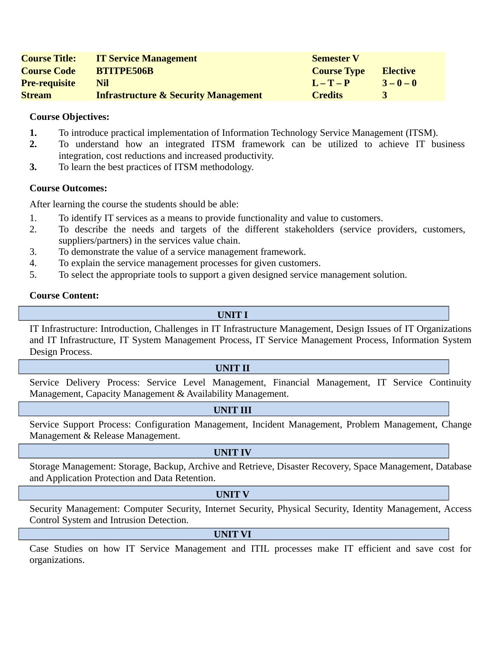| <b>Course Title:</b> | <b>IT Service Management</b>                    | <b>Semester V</b>  |             |
|----------------------|-------------------------------------------------|--------------------|-------------|
| <b>Course Code</b>   | <b>BTITPE506B</b>                               | <b>Course Type</b> | Elective    |
| <b>Pre-requisite</b> | Nil                                             | $L - T - P$        | $3 - 0 - 0$ |
| <b>Stream</b>        | <b>Infrastructure &amp; Security Management</b> | <b>Credits</b>     |             |

- **1.** To introduce practical implementation of Information Technology Service Management (ITSM).
- **2.** To understand how an integrated ITSM framework can be utilized to achieve IT business integration, cost reductions and increased productivity.
- **3.** To learn the best practices of ITSM methodology.

#### **Course Outcomes:**

After learning the course the students should be able:

- 1. To identify IT services as a means to provide functionality and value to customers.
- 2. To describe the needs and targets of the different stakeholders (service providers, customers, suppliers/partners) in the services value chain.
- 3. To demonstrate the value of a service management framework.
- 4. To explain the service management processes for given customers.
- 5. To select the appropriate tools to support a given designed service management solution.

#### **Course Content:**

**UNIT I**

IT Infrastructure: Introduction, Challenges in IT Infrastructure Management, Design Issues of IT Organizations and IT Infrastructure, IT System Management Process, IT Service Management Process, Information System Design Process.

#### **UNIT II**

Service Delivery Process: Service Level Management, Financial Management, IT Service Continuity Management, Capacity Management & Availability Management.

#### **UNIT III**

Service Support Process: Configuration Management, Incident Management, Problem Management, Change Management & Release Management.

#### **UNIT IV**

Storage Management: Storage, Backup, Archive and Retrieve, Disaster Recovery, Space Management, Database and Application Protection and Data Retention.

#### **UNIT V**

Security Management: Computer Security, Internet Security, Physical Security, Identity Management, Access Control System and Intrusion Detection.

#### **UNIT VI**

Case Studies on how IT Service Management and ITIL processes make IT efficient and save cost for organizations.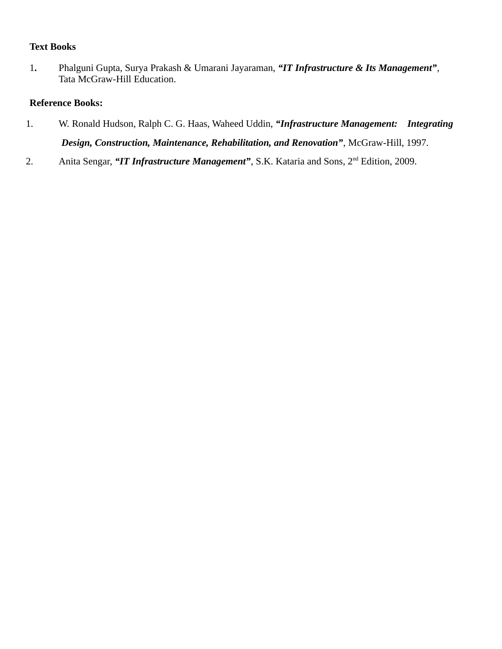# **Text Books**

1**.** Phalguni Gupta, Surya Prakash & Umarani Jayaraman, *"IT Infrastructure & Its Management"*, Tata McGraw-Hill Education.

- 1. W. Ronald Hudson, Ralph C. G. Haas, Waheed Uddin, *"Infrastructure Management: Integrating Design, Construction, Maintenance, Rehabilitation, and Renovation"*, McGraw-Hill, 1997.
- 2. Anita Sengar, *"IT Infrastructure Management"*, S.K. Kataria and Sons, 2nd Edition, 2009.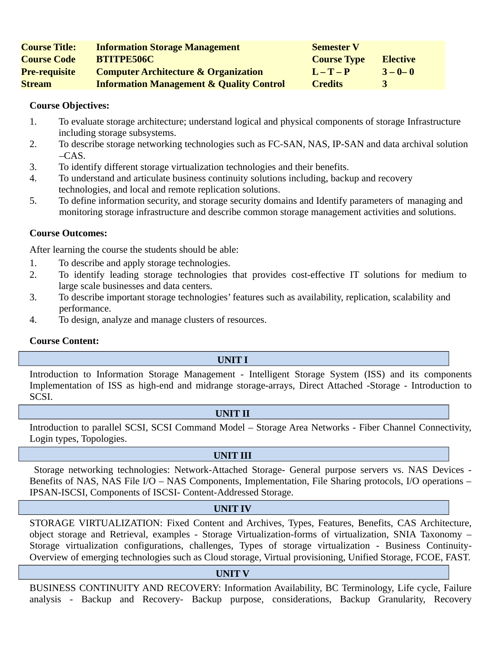| <b>Course Title:</b> | <b>Information Storage Management</b>               | <b>Semester V</b>  |                 |
|----------------------|-----------------------------------------------------|--------------------|-----------------|
| <b>Course Code</b>   | <b>BTITPE506C</b>                                   | <b>Course Type</b> | <b>Elective</b> |
| <b>Pre-requisite</b> | <b>Computer Architecture &amp; Organization</b>     | $L-T-P$            | $3 - 0 - 0$     |
| <b>Stream</b>        | <b>Information Management &amp; Quality Control</b> | <b>Credits</b>     |                 |

- 1. To evaluate storage architecture; understand logical and physical components of storage Infrastructure including storage subsystems.
- 2. To describe storage networking technologies such as FC-SAN, NAS, IP-SAN and data archival solution  $-CAS$ .
- 3. To identify different storage virtualization technologies and their benefits.
- 4. To understand and articulate business continuity solutions including, backup and recovery technologies, and local and remote replication solutions.
- 5. To define information security, and storage security domains and Identify parameters of managing and monitoring storage infrastructure and describe common storage management activities and solutions.

# **Course Outcomes:**

After learning the course the students should be able:

- 1. To describe and apply storage technologies.
- 2. To identify leading storage technologies that provides cost-effective IT solutions for medium to large scale businesses and data centers.
- 3. To describe important storage technologies' features such as availability, replication, scalability and performance.
- 4. To design, analyze and manage clusters of resources.

# **Course Content:**

#### **UNIT I**

Introduction to Information Storage Management - Intelligent Storage System (ISS) and its components Implementation of ISS as high-end and midrange storage-arrays, Direct Attached -Storage - Introduction to SCSI.

#### **UNIT II**

Introduction to parallel SCSI, SCSI Command Model – Storage Area Networks - Fiber Channel Connectivity, Login types, Topologies.

#### **UNIT III**

Storage networking technologies: Network-Attached Storage- General purpose servers vs. NAS Devices - Benefits of NAS, NAS File I/O – NAS Components, Implementation, File Sharing protocols, I/O operations – IPSAN-ISCSI, Components of ISCSI- Content-Addressed Storage.

#### **UNIT IV**

STORAGE VIRTUALIZATION: Fixed Content and Archives, Types, Features, Benefits, CAS Architecture, object storage and Retrieval, examples - Storage Virtualization-forms of virtualization, SNIA Taxonomy – Storage virtualization configurations, challenges, Types of storage virtualization - Business Continuity-Overview of emerging technologies such as Cloud storage, Virtual provisioning, Unified Storage, FCOE, FAST.

#### **UNIT V**

BUSINESS CONTINUITY AND RECOVERY: Information Availability, BC Terminology, Life cycle, Failure analysis - Backup and Recovery- Backup purpose, considerations, Backup Granularity, Recovery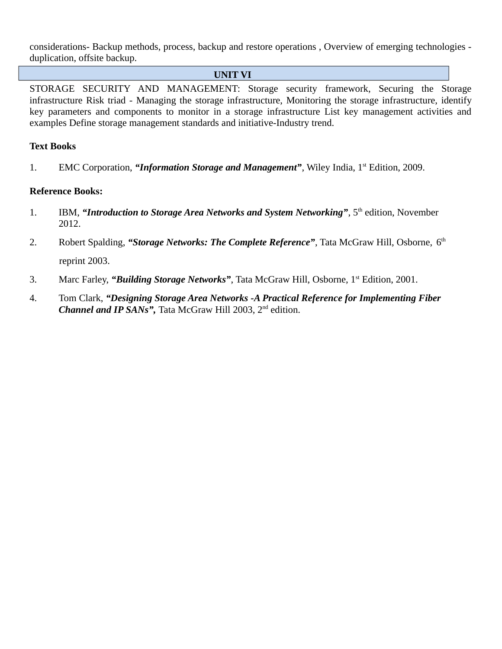considerations- Backup methods, process, backup and restore operations , Overview of emerging technologies duplication, offsite backup.

#### **UNIT VI**

STORAGE SECURITY AND MANAGEMENT: Storage security framework, Securing the Storage infrastructure Risk triad - Managing the storage infrastructure, Monitoring the storage infrastructure, identify key parameters and components to monitor in a storage infrastructure List key management activities and examples Define storage management standards and initiative-Industry trend.

#### **Text Books**

1. EMC Corporation, "*Information Storage and Management*", Wiley India, 1<sup>st</sup> Edition, 2009.

- 1. IBM, "Introduction to Storage Area Networks and System Networking", 5<sup>th</sup> edition, November 2012.
- 2. Robert Spalding, "Storage Networks: The Complete Reference", Tata McGraw Hill, Osborne, 6<sup>th</sup> reprint 2003.
- 3. Marc Farley, "**Building Storage Networks"**, Tata McGraw Hill, Osborne, 1<sup>st</sup> Edition, 2001.
- 4. Tom Clark, *"Designing Storage Area Networks -A Practical Reference for Implementing Fiber Channel and IP SANs"*, Tata McGraw Hill 2003, 2<sup>nd</sup> edition.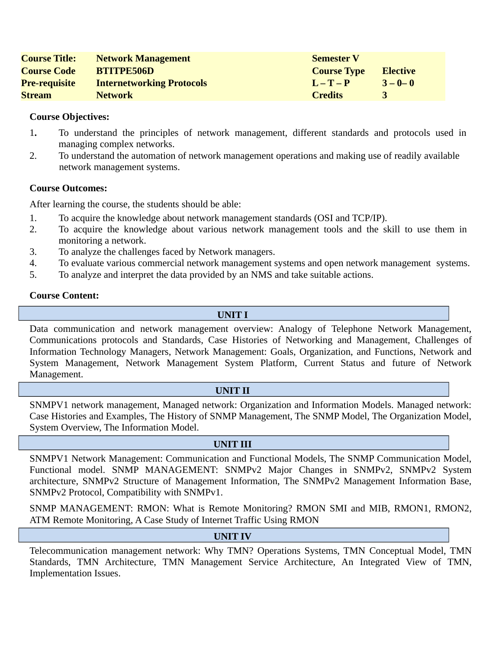| <b>Course Title:</b> | <b>Network Management</b>        | <b>Semester V</b>  |                 |
|----------------------|----------------------------------|--------------------|-----------------|
| <b>Course Code</b>   | <b>BTITPE506D</b>                | <b>Course Type</b> | <b>Elective</b> |
| <b>Pre-requisite</b> | <b>Internetworking Protocols</b> | $L - T - P$        | $3 - 0 - 0$     |
| <b>Stream</b>        | <b>Network</b>                   | <b>Credits</b>     |                 |

- 1**.** To understand the principles of network management, different standards and protocols used in managing complex networks.
- 2. To understand the automation of network management operations and making use of readily available network management systems.

#### **Course Outcomes:**

After learning the course, the students should be able:

- 1. To acquire the knowledge about network management standards (OSI and TCP/IP).
- 2. To acquire the knowledge about various network management tools and the skill to use them in monitoring a network.
- 3. To analyze the challenges faced by Network managers.
- 4. To evaluate various commercial network management systems and open network management systems.
- 5. To analyze and interpret the data provided by an NMS and take suitable actions.

#### **Course Content:**

**UNIT I**

Data communication and network management overview: Analogy of Telephone Network Management, Communications protocols and Standards, Case Histories of Networking and Management, Challenges of Information Technology Managers, Network Management: Goals, Organization, and Functions, Network and System Management, Network Management System Platform, Current Status and future of Network Management.

#### **UNIT II**

SNMPV1 network management, Managed network: Organization and Information Models. Managed network: Case Histories and Examples, The History of SNMP Management, The SNMP Model, The Organization Model, System Overview, The Information Model.

#### **UNIT III**

SNMPV1 Network Management: Communication and Functional Models, The SNMP Communication Model, Functional model. SNMP MANAGEMENT: SNMPv2 Major Changes in SNMPv2, SNMPv2 System architecture, SNMPv2 Structure of Management Information, The SNMPv2 Management Information Base, SNMPv2 Protocol, Compatibility with SNMPv1.

SNMP MANAGEMENT: RMON: What is Remote Monitoring? RMON SMI and MIB, RMON1, RMON2, ATM Remote Monitoring, A Case Study of Internet Traffic Using RMON

#### **UNIT IV**

Telecommunication management network: Why TMN? Operations Systems, TMN Conceptual Model, TMN Standards, TMN Architecture, TMN Management Service Architecture, An Integrated View of TMN, Implementation Issues.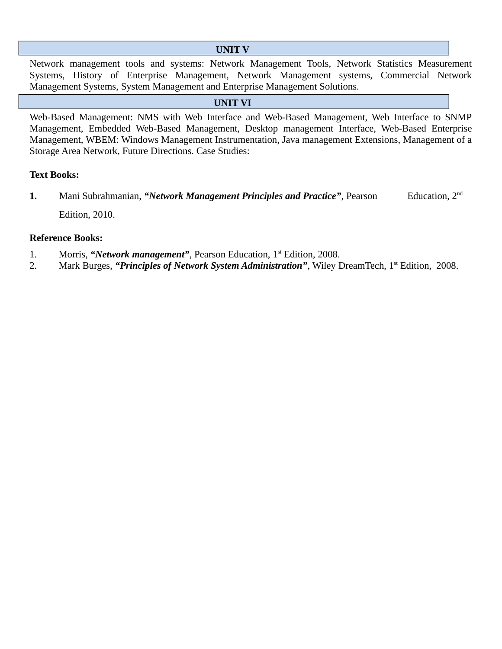### **UNIT V**

Network management tools and systems: Network Management Tools, Network Statistics Measurement Systems, History of Enterprise Management, Network Management systems, Commercial Network Management Systems, System Management and Enterprise Management Solutions.

# **UNIT VI**

Web-Based Management: NMS with Web Interface and Web-Based Management, Web Interface to SNMP Management, Embedded Web-Based Management, Desktop management Interface, Web-Based Enterprise Management, WBEM: Windows Management Instrumentation, Java management Extensions, Management of a Storage Area Network, Future Directions. Case Studies:

#### **Text Books:**

**1.** Mani Subrahmanian, "Network Management Principles and Practice", Pearson Education, 2<sup>nd</sup> Edition, 2010.

- 1. Morris, "*Network management*", Pearson Education, 1<sup>st</sup> Edition, 2008.
- 2. Mark Burges, "*Principles of Network System Administration*", Wiley DreamTech, 1<sup>st</sup> Edition, 2008.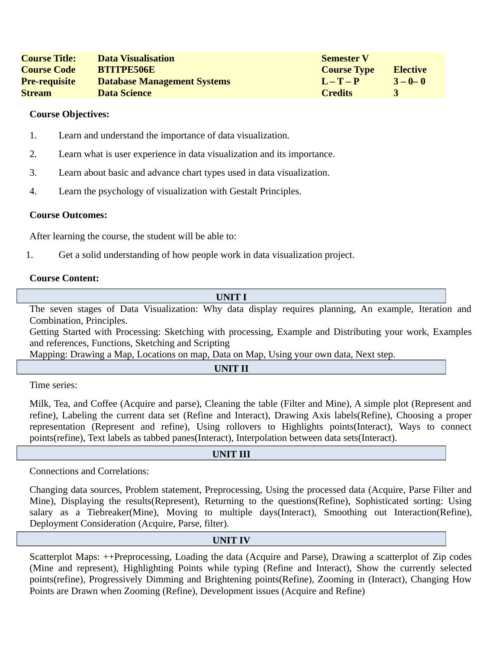| <b>Course Title:</b> | <b>Data Visualisation</b>          | <b>Semester V</b>  |                 |
|----------------------|------------------------------------|--------------------|-----------------|
| <b>Course Code</b>   | <b>BTITPE506E</b>                  | <b>Course Type</b> | <b>Elective</b> |
| <b>Pre-requisite</b> | <b>Database Management Systems</b> | $L-T-P$            | $3 - 0 - 0$     |
| <b>Stream</b>        | <b>Data Science</b>                | <b>Credits</b>     |                 |

- 1. Learn and understand the importance of data visualization.
- 2. Learn what is user experience in data visualization and its importance.
- 3. Learn about basic and advance chart types used in data visualization.
- 4. Learn the psychology of visualization with Gestalt Principles.

#### **Course Outcomes:**

After learning the course, the student will be able to:

1. Get a solid understanding of how people work in data visualization project.

#### **Course Content:**

**UNIT I**

The seven stages of Data Visualization: Why data display requires planning, An example, Iteration and Combination, Principles.

Getting Started with Processing: Sketching with processing, Example and Distributing your work, Examples and references, Functions, Sketching and Scripting

Mapping: Drawing a Map, Locations on map, Data on Map, Using your own data, Next step.

**UNIT II**

Time series:

Milk, Tea, and Coffee (Acquire and parse), Cleaning the table (Filter and Mine), A simple plot (Represent and refine), Labeling the current data set (Refine and Interact), Drawing Axis labels(Refine), Choosing a proper representation (Represent and refine), Using rollovers to Highlights points(Interact), Ways to connect points(refine), Text labels as tabbed panes(Interact), Interpolation between data sets(Interact).

#### **UNIT III**

Connections and Correlations:

Changing data sources, Problem statement, Preprocessing, Using the processed data (Acquire, Parse Filter and Mine), Displaying the results(Represent), Returning to the questions(Refine), Sophisticated sorting: Using salary as a Tiebreaker(Mine), Moving to multiple days(Interact), Smoothing out Interaction(Refine), Deployment Consideration (Acquire, Parse, filter).

#### **UNIT IV**

Scatterplot Maps: ++Preprocessing, Loading the data (Acquire and Parse), Drawing a scatterplot of Zip codes (Mine and represent), Highlighting Points while typing (Refine and Interact), Show the currently selected points(refine), Progressively Dimming and Brightening points(Refine), Zooming in (Interact), Changing How Points are Drawn when Zooming (Refine), Development issues (Acquire and Refine)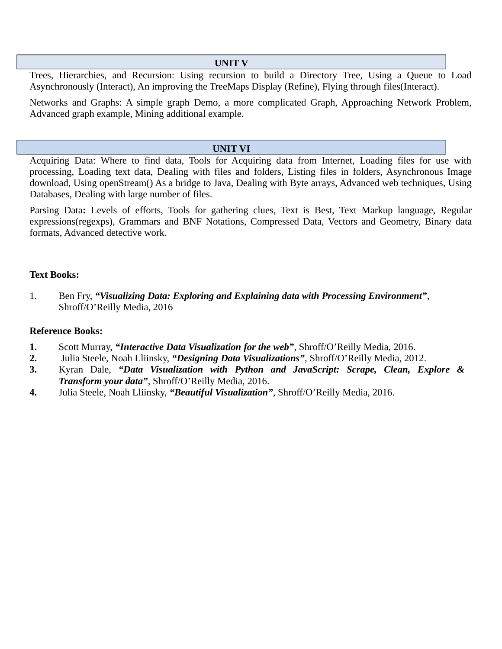#### **UNIT V**

Trees, Hierarchies, and Recursion: Using recursion to build a Directory Tree, Using a Queue to Load Asynchronously (Interact), An improving the TreeMaps Display (Refine), Flying through files(Interact).

Networks and Graphs: A simple graph Demo, a more complicated Graph, Approaching Network Problem, Advanced graph example, Mining additional example.

#### **UNIT VI**

Acquiring Data: Where to find data, Tools for Acquiring data from Internet, Loading files for use with processing, Loading text data, Dealing with files and folders, Listing files in folders, Asynchronous Image download, Using openStream() As a bridge to Java, Dealing with Byte arrays, Advanced web techniques, Using Databases, Dealing with large number of files.

Parsing Data**:** Levels of efforts, Tools for gathering clues, Text is Best, Text Markup language, Regular expressions(regexps), Grammars and BNF Notations, Compressed Data, Vectors and Geometry, Binary data formats, Advanced detective work.

#### **Text Books:**

1. Ben Fry, *"Visualizing Data: Exploring and Explaining data with Processing Environment"*, Shroff/O'Reilly Media, 2016

- **1.** Scott Murray, *"Interactive Data Visualization for the web"*, Shroff/O'Reilly Media, 2016.
- **2.** Julia Steele, Noah Lliinsky, *"Designing Data Visualizations"*, Shroff/O'Reilly Media, 2012.
- **3.** Kyran Dale, *"Data Visualization with Python and JavaScript: Scrape, Clean, Explore & Transform your data"*, Shroff/O'Reilly Media, 2016.
- **4.** Julia Steele, Noah Lliinsky, *"Beautiful Visualization"*, Shroff/O'Reilly Media, 2016.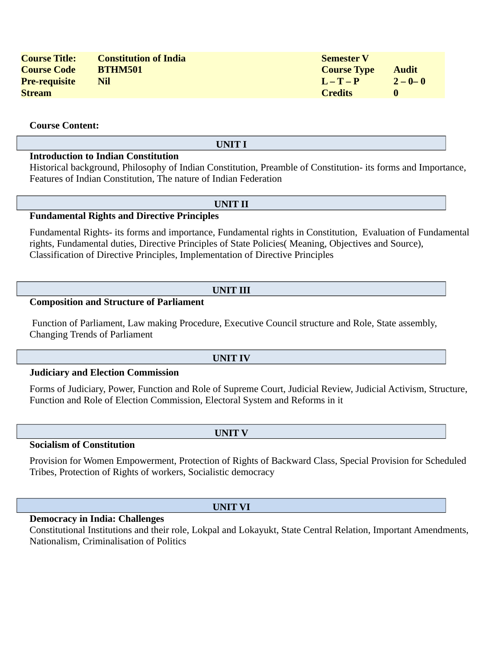| <b>Course Title:</b> | <b>Constitution of India</b> | <b>Semester V</b>  |              |
|----------------------|------------------------------|--------------------|--------------|
| <b>Course Code</b>   | <b>BTHM501</b>               | <b>Course Type</b> | <b>Audit</b> |
| <b>Pre-requisite</b> | Nil                          | $L-T-P$            | $2 - 0 - 0$  |
| <b>Stream</b>        |                              | <b>Credits</b>     |              |

**Course Content:**

#### **UNIT I**

# **Introduction to Indian Constitution**

Historical background, Philosophy of Indian Constitution, Preamble of Constitution- its forms and Importance, Features of Indian Constitution, The nature of Indian Federation

#### **UNIT II**

#### **Fundamental Rights and Directive Principles**

Fundamental Rights- its forms and importance, Fundamental rights in Constitution, Evaluation of Fundamental rights, Fundamental duties, Directive Principles of State Policies( Meaning, Objectives and Source), Classification of Directive Principles, Implementation of Directive Principles

#### **UNIT III**

### **Composition and Structure of Parliament**

Function of Parliament, Law making Procedure, Executive Council structure and Role, State assembly, Changing Trends of Parliament

#### **UNIT IV**

**UNIT V**

#### **Judiciary and Election Commission**

Forms of Judiciary, Power, Function and Role of Supreme Court, Judicial Review, Judicial Activism, Structure, Function and Role of Election Commission, Electoral System and Reforms in it

**Socialism of Constitution**

Provision for Women Empowerment, Protection of Rights of Backward Class, Special Provision for Scheduled Tribes, Protection of Rights of workers, Socialistic democracy

#### **UNIT VI**

#### **Democracy in India: Challenges**

Constitutional Institutions and their role, Lokpal and Lokayukt, State Central Relation, Important Amendments, Nationalism, Criminalisation of Politics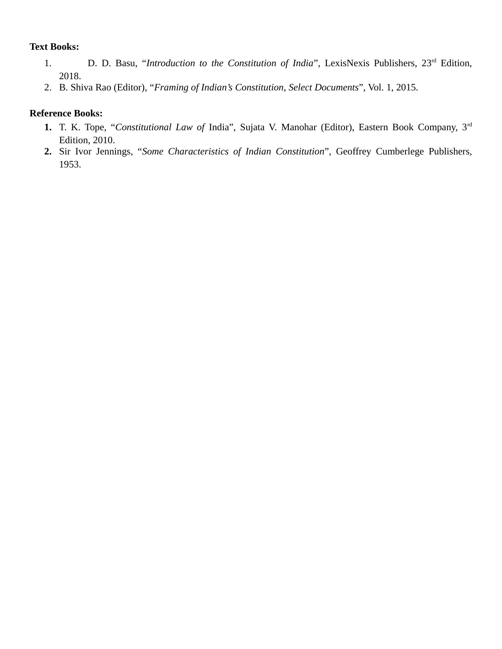### **Text Books:**

- 1. D. D. Basu, "*Introduction to the Constitution of India*", LexisNexis Publishers, 23rd Edition, 2018.
- 2. B. Shiva Rao (Editor), "*Framing of Indian's Constitution*, *Select Documents*", Vol. 1, 2015.

- **1.** T. K. Tope, "*Constitutional Law of* India", Sujata V. Manohar (Editor), Eastern Book Company, 3rd Edition, 2010.
- **2.** Sir Ivor Jennings, "*Some Characteristics of Indian Constitution*", Geoffrey Cumberlege Publishers, 1953.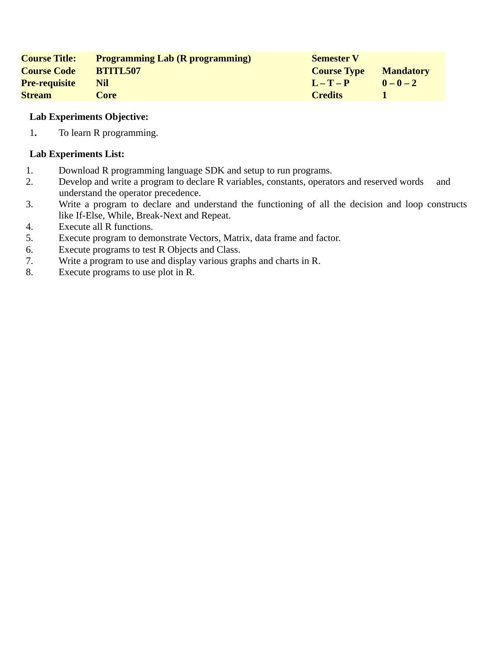| <b>Course Title:</b> | <b>Programming Lab (R programming)</b> | <b>Semester V</b>  |                  |
|----------------------|----------------------------------------|--------------------|------------------|
| <b>Course Code</b>   | <b>BTITL507</b>                        | <b>Course Type</b> | <b>Mandatory</b> |
| <b>Pre-requisite</b> | Nil                                    | $L = T - P$        | $0 - 0 - 2$      |
| <b>Stream</b>        | Core                                   | <b>Credits</b>     |                  |

1**.** To learn R programming.

- 1. Download R programming language SDK and setup to run programs.
- 2. Develop and write a program to declare R variables, constants, operators and reserved words and understand the operator precedence.
- 3. Write a program to declare and understand the functioning of all the decision and loop constructs like If-Else, While, Break-Next and Repeat.
- 4. Execute all R functions.
- 5. Execute program to demonstrate Vectors, Matrix, data frame and factor.
- 6. Execute programs to test R Objects and Class.
- 7. Write a program to use and display various graphs and charts in R.
- 8. Execute programs to use plot in R.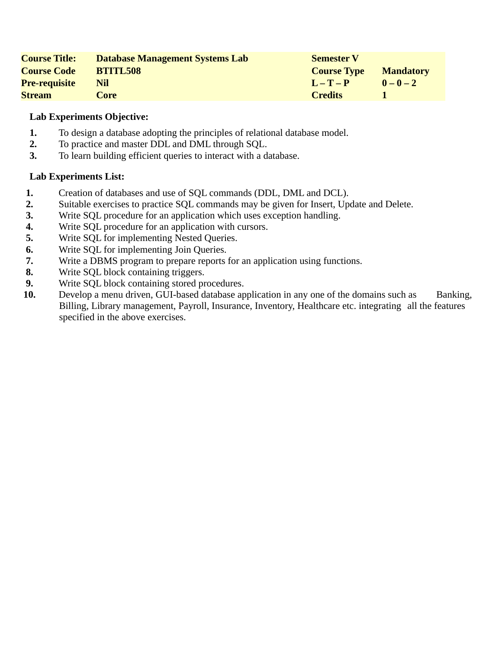| <b>Course Title:</b> | Database Management Systems Lab | <b>Semester V</b>  |                  |
|----------------------|---------------------------------|--------------------|------------------|
| <b>Course Code</b>   | <b>BTITL508</b>                 | <b>Course Type</b> | <b>Mandatory</b> |
| <b>Pre-requisite</b> | Nil                             | $L - T - P$        | $0 - 0 - 2$      |
| <b>Stream</b>        | Core                            | <b>Credits</b>     |                  |

- **1.** To design a database adopting the principles of relational database model.
- **2.** To practice and master DDL and DML through SQL.
- **3.** To learn building efficient queries to interact with a database.

- **1.** Creation of databases and use of SQL commands (DDL, DML and DCL).
- **2.** Suitable exercises to practice SQL commands may be given for Insert, Update and Delete.
- **3.** Write SQL procedure for an application which uses exception handling.
- **4.** Write SQL procedure for an application with cursors.
- **5.** Write SQL for implementing Nested Queries.
- **6.** Write SQL for implementing Join Queries.
- **7.** Write a DBMS program to prepare reports for an application using functions.
- **8.** Write SQL block containing triggers.
- **9.** Write SQL block containing stored procedures.
- **10.** Develop a menu driven, GUI-based database application in any one of the domains such as Banking, Billing, Library management, Payroll, Insurance, Inventory, Healthcare etc. integrating all the features specified in the above exercises.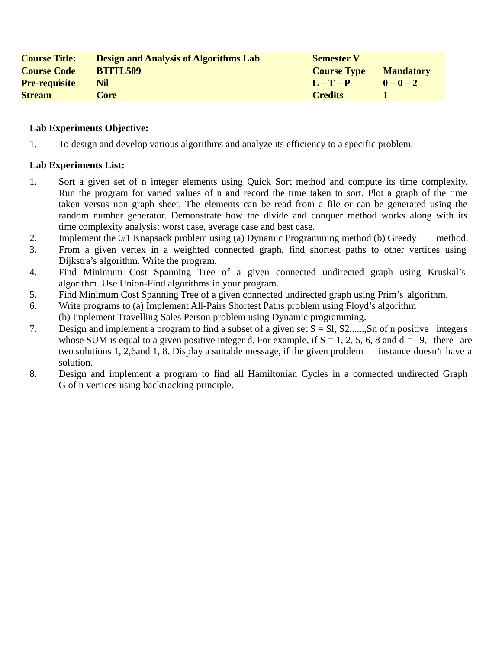| <b>Course Title:</b> | <b>Design and Analysis of Algorithms Lab</b> | <b>Semester V</b>  |                  |
|----------------------|----------------------------------------------|--------------------|------------------|
| <b>Course Code</b>   | <b>BTITL509</b>                              | <b>Course Type</b> | <b>Mandatory</b> |
| <b>Pre-requisite</b> | Nil                                          | $L - T - P$        | $0 - 0 - 2$      |
| <b>Stream</b>        | Core                                         | <b>Credits</b>     |                  |

1. To design and develop various algorithms and analyze its efficiency to a specific problem.

- 1. Sort a given set of n integer elements using Quick Sort method and compute its time complexity. Run the program for varied values of n and record the time taken to sort. Plot a graph of the time taken versus non graph sheet. The elements can be read from a file or can be generated using the random number generator. Demonstrate how the divide and conquer method works along with its time complexity analysis: worst case, average case and best case.
- 2. Implement the 0/1 Knapsack problem using (a) Dynamic Programming method (b) Greedy method.
- 3. From a given vertex in a weighted connected graph, find shortest paths to other vertices using Dijkstra's algorithm. Write the program.
- 4. Find Minimum Cost Spanning Tree of a given connected undirected graph using Kruskal's algorithm. Use Union-Find algorithms in your program.
- 5. Find Minimum Cost Spanning Tree of a given connected undirected graph using Prim's algorithm.
- 6. Write programs to (a) Implement All-Pairs Shortest Paths problem using Floyd's algorithm (b) Implement Travelling Sales Person problem using Dynamic programming.
- 7. Design and implement a program to find a subset of a given set S = Sl, S2,.....,Sn of n positive integers whose SUM is equal to a given positive integer d. For example, if  $S = 1, 2, 5, 6, 8$  and  $d = 9$ , there are two solutions 1, 2,6and 1, 8. Display a suitable message, if the given problem instance doesn't have a solution.
- 8. Design and implement a program to find all Hamiltonian Cycles in a connected undirected Graph G of n vertices using backtracking principle.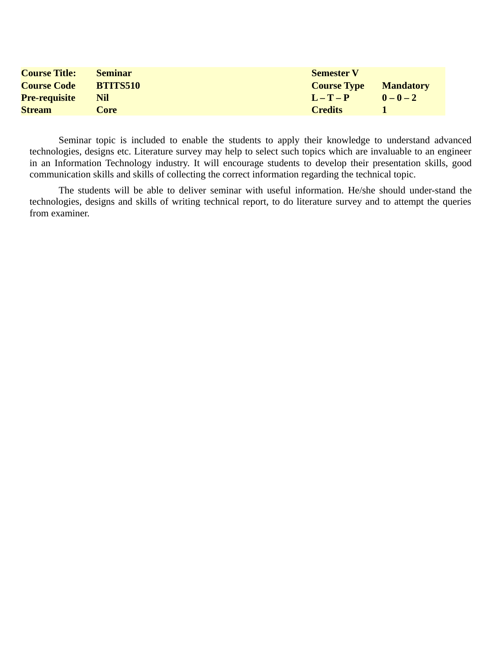| <b>Course Title:</b> | <b>Seminar</b>  | <b>Semester V</b>  |                  |
|----------------------|-----------------|--------------------|------------------|
| <b>Course Code</b>   | <b>BTITS510</b> | <b>Course Type</b> | <b>Mandatory</b> |
| <b>Pre-requisite</b> | Nil             | $L - T - P$        | $0-0-2$          |
| <b>Stream</b>        | Core            | <b>Credits</b>     |                  |

Seminar topic is included to enable the students to apply their knowledge to understand advanced technologies, designs etc. Literature survey may help to select such topics which are invaluable to an engineer in an Information Technology industry. It will encourage students to develop their presentation skills, good communication skills and skills of collecting the correct information regarding the technical topic.

The students will be able to deliver seminar with useful information. He/she should under-stand the technologies, designs and skills of writing technical report, to do literature survey and to attempt the queries from examiner.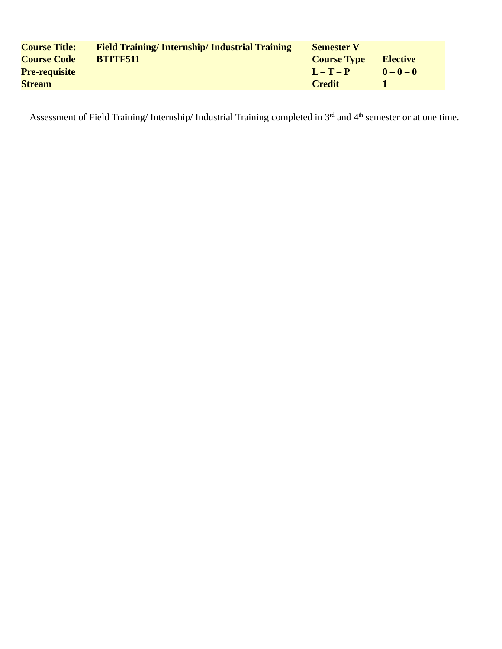| <b>Course Title:</b> | <b>Field Training/Internship/Industrial Training</b> | <b>Semester V</b>  |                 |
|----------------------|------------------------------------------------------|--------------------|-----------------|
| <b>Course Code</b>   | <b>BTITF511</b>                                      | <b>Course Type</b> | <b>Elective</b> |
| <b>Pre-requisite</b> |                                                      | $L = T - P$        | $0 - 0 - 0$     |
| <b>Stream</b>        |                                                      | Credit             |                 |

Assessment of Field Training/ Internship/ Industrial Training completed in 3<sup>rd</sup> and 4<sup>th</sup> semester or at one time.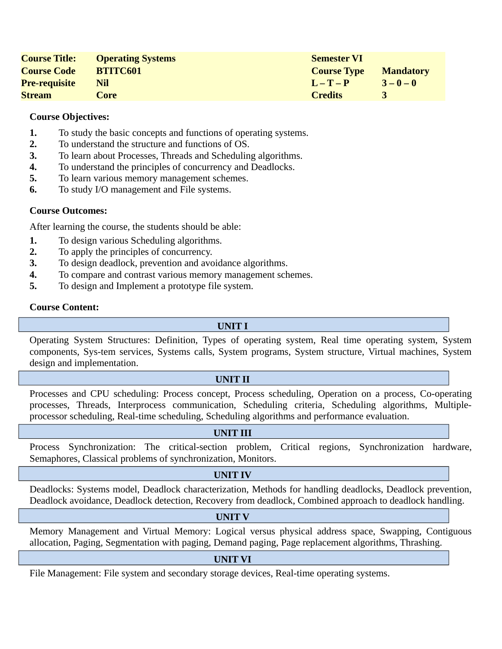| <b>Course Title:</b> | <b>Operating Systems</b> | <b>Semester VI</b> |                  |
|----------------------|--------------------------|--------------------|------------------|
| <b>Course Code</b>   | <b>BTITC601</b>          | <b>Course Type</b> | <b>Mandatory</b> |
| <b>Pre-requisite</b> | Nil                      | $L - T - P$        | $3 - 0 - 0$      |
| <b>Stream</b>        | Core                     | <b>Credits</b>     |                  |

- **1.** To study the basic concepts and functions of operating systems.
- **2.** To understand the structure and functions of OS.
- **3.** To learn about Processes, Threads and Scheduling algorithms.
- **4.** To understand the principles of concurrency and Deadlocks.
- **5.** To learn various memory management schemes.
- **6.** To study I/O management and File systems.

# **Course Outcomes:**

After learning the course, the students should be able:

- **1.** To design various Scheduling algorithms.
- **2.** To apply the principles of concurrency.
- **3.** To design deadlock, prevention and avoidance algorithms.
- **4.** To compare and contrast various memory management schemes.
- **5.** To design and Implement a prototype file system.

#### **Course Content:**

#### **UNIT I**

Operating System Structures: Definition, Types of operating system, Real time operating system, System components, Sys-tem services, Systems calls, System programs, System structure, Virtual machines, System design and implementation.

#### **UNIT II**

Processes and CPU scheduling: Process concept, Process scheduling, Operation on a process, Co-operating processes, Threads, Interprocess communication, Scheduling criteria, Scheduling algorithms, Multipleprocessor scheduling, Real-time scheduling, Scheduling algorithms and performance evaluation.

#### **UNIT III**

Process Synchronization: The critical-section problem, Critical regions, Synchronization hardware, Semaphores, Classical problems of synchronization, Monitors.

#### **UNIT IV**

Deadlocks: Systems model, Deadlock characterization, Methods for handling deadlocks, Deadlock prevention, Deadlock avoidance, Deadlock detection, Recovery from deadlock, Combined approach to deadlock handling.

#### **UNIT V**

Memory Management and Virtual Memory: Logical versus physical address space, Swapping, Contiguous allocation, Paging, Segmentation with paging, Demand paging, Page replacement algorithms, Thrashing.

#### **UNIT VI**

File Management: File system and secondary storage devices, Real-time operating systems.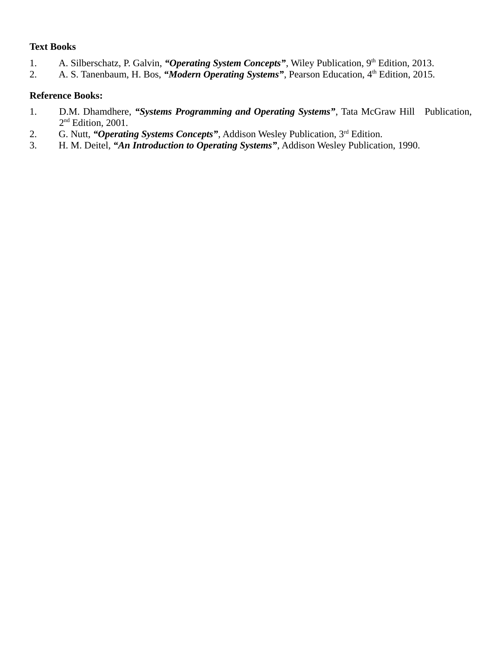# **Text Books**

- 1. A. Silberschatz, P. Galvin, "Operating System Concepts", Wiley Publication, 9<sup>th</sup> Edition, 2013.
- 2. A. S. Tanenbaum, H. Bos, "Modern Operating Systems", Pearson Education, 4<sup>th</sup> Edition, 2015.

- 1. D.M. Dhamdhere, *"Systems Programming and Operating Systems"*, Tata McGraw Hill Publication, 2<sup>nd</sup> Edition, 2001.
- 2. G. Nutt, "Operating Systems Concepts", Addison Wesley Publication, 3<sup>rd</sup> Edition.
- 3. H. M. Deitel, *"An Introduction to Operating Systems"*, Addison Wesley Publication, 1990.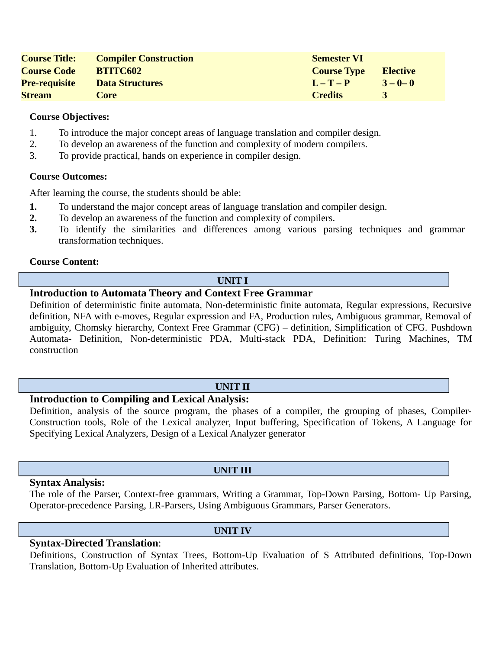| <b>Course Title:</b> | <b>Compiler Construction</b> | <b>Semester VI</b> |             |
|----------------------|------------------------------|--------------------|-------------|
| <b>Course Code</b>   | <b>BTITC602</b>              | <b>Course Type</b> | Elective    |
| <b>Pre-requisite</b> | <b>Data Structures</b>       | $L - T - P$        | $3 - 0 - 0$ |
| <b>Stream</b>        | Core                         | <b>Credits</b>     |             |

- 1. To introduce the major concept areas of language translation and compiler design.
- 2. To develop an awareness of the function and complexity of modern compilers.
- 3. To provide practical, hands on experience in compiler design.

#### **Course Outcomes:**

After learning the course, the students should be able:

- **1.** To understand the major concept areas of language translation and compiler design.
- **2.** To develop an awareness of the function and complexity of compilers.
- **3.** To identify the similarities and differences among various parsing techniques and grammar transformation techniques.

#### **Course Content:**

#### **UNIT I**

#### **Introduction to Automata Theory and Context Free Grammar**

Definition of deterministic finite automata, Non-deterministic finite automata, Regular expressions, Recursive definition, NFA with e-moves, Regular expression and FA, Production rules, Ambiguous grammar, Removal of ambiguity, Chomsky hierarchy, Context Free Grammar (CFG) – definition, Simplification of CFG. Pushdown Automata- Definition, Non-deterministic PDA, Multi-stack PDA, Definition: Turing Machines, TM construction

#### **UNIT II**

# **Introduction to Compiling and Lexical Analysis:**

Definition, analysis of the source program, the phases of a compiler, the grouping of phases, Compiler-Construction tools, Role of the Lexical analyzer, Input buffering, Specification of Tokens, A Language for Specifying Lexical Analyzers, Design of a Lexical Analyzer generator

#### **Syntax Analysis:**

The role of the Parser, Context-free grammars, Writing a Grammar, Top-Down Parsing, Bottom- Up Parsing, Operator-precedence Parsing, LR-Parsers, Using Ambiguous Grammars, Parser Generators.

# **Syntax-Directed Translation**:

Definitions, Construction of Syntax Trees, Bottom-Up Evaluation of S Attributed definitions, Top-Down Translation, Bottom-Up Evaluation of Inherited attributes.

#### **UNIT III**

**UNIT IV**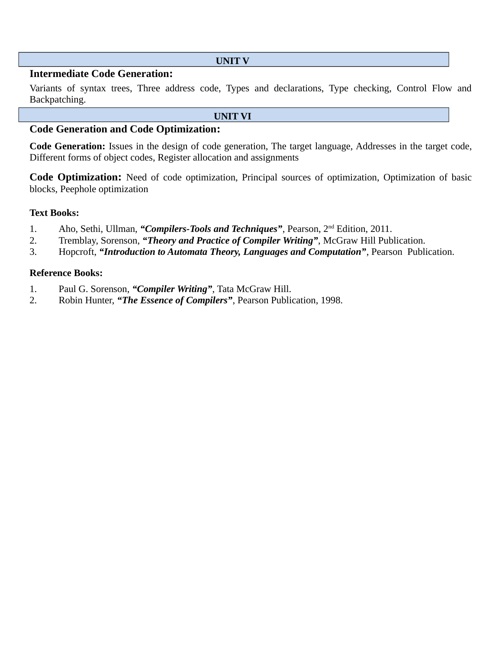#### **UNIT V**

# **Intermediate Code Generation:**

Variants of syntax trees, Three address code, Types and declarations, Type checking, Control Flow and Backpatching.

**UNIT VI**

# **Code Generation and Code Optimization:**

**Code Generation:** Issues in the design of code generation, The target language, Addresses in the target code, Different forms of object codes, Register allocation and assignments

**Code Optimization:** Need of code optimization, Principal sources of optimization, Optimization of basic blocks, Peephole optimization

#### **Text Books:**

- 1. Aho, Sethi, Ullman, *"Compilers-Tools and Techniques"*, Pearson, 2nd Edition, 2011.
- 2. Tremblay, Sorenson, *"Theory and Practice of Compiler Writing"*, McGraw Hill Publication.
- 3. Hopcroft, *"Introduction to Automata Theory, Languages and Computation"*, Pearson Publication.

- 1. Paul G. Sorenson, *"Compiler Writing"*, Tata McGraw Hill.
- 2. Robin Hunter, *"The Essence of Compilers"*, Pearson Publication, 1998.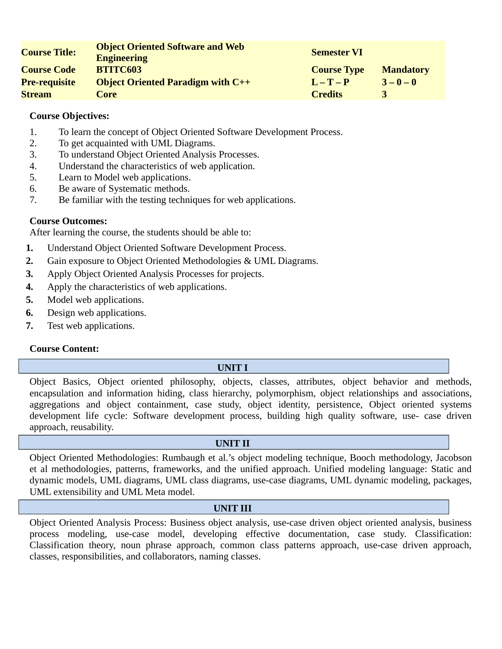| <b>Course Title:</b> | <b>Object Oriented Software and Web</b><br><b>Engineering</b> | <b>Semester VI</b> |                  |
|----------------------|---------------------------------------------------------------|--------------------|------------------|
| <b>Course Code</b>   | <b>BTITC603</b>                                               | <b>Course Type</b> | <b>Mandatory</b> |
| <b>Pre-requisite</b> | <b>Object Oriented Paradigm with C++</b>                      | $L - T - P$        | $3 - 0 - 0$      |
| <b>Stream</b>        | Core                                                          | <b>Credits</b>     | 3                |

- 1. To learn the concept of Object Oriented Software Development Process.
- 2. To get acquainted with UML Diagrams.
- 3. To understand Object Oriented Analysis Processes.
- 4. Understand the characteristics of web application.
- 5. Learn to Model web applications.
- 6. Be aware of Systematic methods.
- 7. Be familiar with the testing techniques for web applications.

# **Course Outcomes:**

After learning the course, the students should be able to:

- **1.** Understand Object Oriented Software Development Process.
- **2.** Gain exposure to Object Oriented Methodologies & UML Diagrams.
- **3.** Apply Object Oriented Analysis Processes for projects.
- **4.** Apply the characteristics of web applications.
- **5.** Model web applications.
- **6.** Design web applications.
- **7.** Test web applications.

#### **Course Content:**

#### **UNIT I**

Object Basics, Object oriented philosophy, objects, classes, attributes, object behavior and methods, encapsulation and information hiding, class hierarchy, polymorphism, object relationships and associations, aggregations and object containment, case study, object identity, persistence, Object oriented systems development life cycle: Software development process, building high quality software, use- case driven approach, reusability.

#### **UNIT II**

Object Oriented Methodologies: Rumbaugh et al.'s object modeling technique, Booch methodology, Jacobson et al methodologies, patterns, frameworks, and the unified approach. Unified modeling language: Static and dynamic models, UML diagrams, UML class diagrams, use-case diagrams, UML dynamic modeling, packages, UML extensibility and UML Meta model.

#### **UNIT III**

Object Oriented Analysis Process: Business object analysis, use-case driven object oriented analysis, business process modeling, use-case model, developing effective documentation, case study. Classification: Classification theory, noun phrase approach, common class patterns approach, use-case driven approach, classes, responsibilities, and collaborators, naming classes.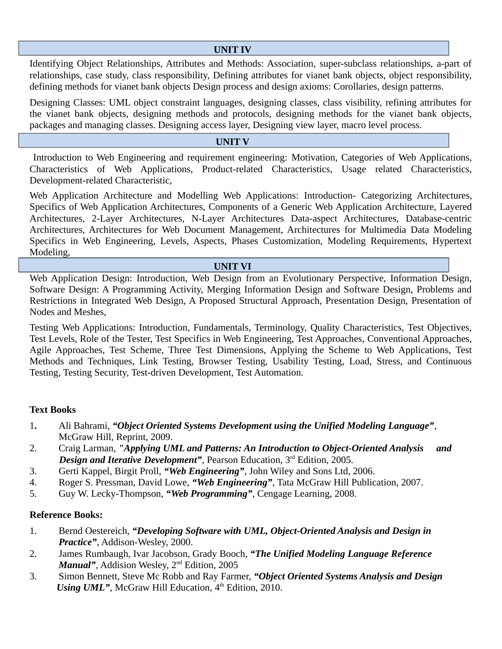# **UNIT IV**

Identifying Object Relationships, Attributes and Methods: Association, super-subclass relationships, a-part of relationships, case study, class responsibility, Defining attributes for vianet bank objects, object responsibility, defining methods for vianet bank objects Design process and design axioms: Corollaries, design patterns.

Designing Classes: UML object constraint languages, designing classes, class visibility, refining attributes for the vianet bank objects, designing methods and protocols, designing methods for the vianet bank objects, packages and managing classes. Designing access layer, Designing view layer, macro level process.

# **UNIT V**

 Introduction to Web Engineering and requirement engineering: Motivation, Categories of Web Applications, Characteristics of Web Applications, Product-related Characteristics, Usage related Characteristics, Development-related Characteristic,

Web Application Architecture and Modelling Web Applications: Introduction- Categorizing Architectures, Specifics of Web Application Architectures, Components of a Generic Web Application Architecture, Layered Architectures, 2-Layer Architectures, N-Layer Architectures Data-aspect Architectures, Database-centric Architectures, Architectures for Web Document Management, Architectures for Multimedia Data Modeling Specifics in Web Engineering, Levels, Aspects, Phases Customization, Modeling Requirements, Hypertext Modeling,

#### **UNIT VI**

Web Application Design: Introduction, Web Design from an Evolutionary Perspective, Information Design, Software Design: A Programming Activity, Merging Information Design and Software Design, Problems and Restrictions in Integrated Web Design, A Proposed Structural Approach, Presentation Design, Presentation of Nodes and Meshes,

Testing Web Applications: Introduction, Fundamentals, Terminology, Quality Characteristics, Test Objectives, Test Levels, Role of the Tester, Test Specifics in Web Engineering, Test Approaches, Conventional Approaches, Agile Approaches, Test Scheme, Three Test Dimensions, Applying the Scheme to Web Applications, Test Methods and Techniques, Link Testing, Browser Testing, Usability Testing, Load, Stress, and Continuous Testing, Testing Security, Test-driven Development, Test Automation.

#### **Text Books**

- 1**.** Ali Bahrami, *"Object Oriented Systems Development using the Unified Modeling Language"*, McGraw Hill, Reprint, 2009.
- 2. Craig Larman, *"Applying UML and Patterns: An Introduction to Object-Oriented Analysis and Design and Iterative Development"*, Pearson Education, 3<sup>rd</sup> Edition, 2005.
- 3. Gerti Kappel, Birgit Proll, *"Web Engineering"*, John Wiley and Sons Ltd, 2006.
- 4. Roger S. Pressman, David Lowe, *"Web Engineering"*, Tata McGraw Hill Publication, 2007.
- 5. Guy W. Lecky-Thompson, *"Web Programming"*, Cengage Learning, 2008.

- 1. Bernd Oestereich, *"Developing Software with UML, Object-Oriented Analysis and Design in Practice"*, Addison-Wesley, 2000.
- 2. James Rumbaugh, Ivar Jacobson, Grady Booch, *"The Unified Modeling Language Reference Manual"*, Addision Wesley, 2<sup>nd</sup> Edition, 2005
- 3. Simon Bennett, Steve Mc Robb and Ray Farmer, *"Object Oriented Systems Analysis and Design Using UML"*, McGraw Hill Education,  $4^{\text{th}}$  Edition, 2010.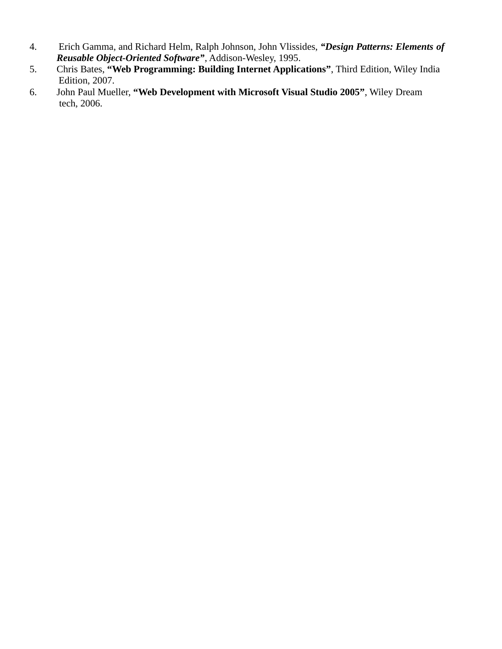- 4. Erich Gamma, and Richard Helm, Ralph Johnson, John Vlissides, *"Design Patterns: Elements of Reusable Object-Oriented Software"*, Addison-Wesley, 1995.
- 5. Chris Bates, **"Web Programming: Building Internet Applications"**, Third Edition, Wiley India Edition, 2007.
- 6. John Paul Mueller, **"Web Development with Microsoft Visual Studio 2005"**, Wiley Dream tech, 2006.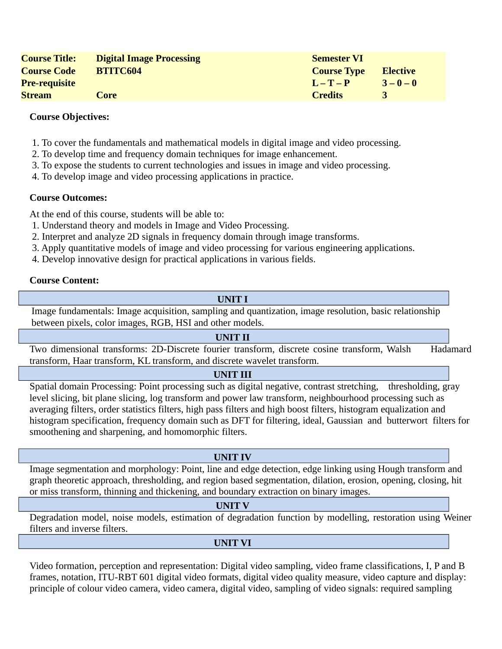| <b>Course Title:</b> | <b>Digital Image Processing</b> | <b>Semester VI</b> |                 |
|----------------------|---------------------------------|--------------------|-----------------|
| <b>Course Code</b>   | <b>BTITC604</b>                 | <b>Course Type</b> | <b>Elective</b> |
| <b>Pre-requisite</b> |                                 | $L - T - P$        | $3 - 0 - 0$     |
| <b>Stream</b>        | Core                            | <b>Credits</b>     |                 |

- 1. To cover the fundamentals and mathematical models in digital image and video processing.
- 2. To develop time and frequency domain techniques for image enhancement.
- 3. To expose the students to current technologies and issues in image and video processing.
- 4. To develop image and video processing applications in practice.

# **Course Outcomes:**

At the end of this course, students will be able to:

- 1. Understand theory and models in Image and Video Processing.
- 2. Interpret and analyze 2D signals in frequency domain through image transforms.
- 3. Apply quantitative models of image and video processing for various engineering applications.
- 4. Develop innovative design for practical applications in various fields.

# **Course Content:**

# **UNIT I**

Image fundamentals: Image acquisition, sampling and quantization, image resolution, basic relationship between pixels, color images, RGB, HSI and other models.

#### **UNIT II**

Two dimensional transforms: 2D-Discrete fourier transform, discrete cosine transform, Walsh Hadamard transform, Haar transform, KL transform, and discrete wavelet transform.

#### **UNIT III**

Spatial domain Processing: Point processing such as digital negative, contrast stretching, thresholding, gray level slicing, bit plane slicing, log transform and power law transform, neighbourhood processing such as averaging filters, order statistics filters, high pass filters and high boost filters, histogram equalization and histogram specification, frequency domain such as DFT for filtering, ideal, Gaussian and butterwort filters for smoothening and sharpening, and homomorphic filters.

#### **UNIT IV**

Image segmentation and morphology: Point, line and edge detection, edge linking using Hough transform and graph theoretic approach, thresholding, and region based segmentation, dilation, erosion, opening, closing, hit or miss transform, thinning and thickening, and boundary extraction on binary images.

#### **UNIT V**

Degradation model, noise models, estimation of degradation function by modelling, restoration using Weiner filters and inverse filters.

# **UNIT VI**

Video formation, perception and representation: Digital video sampling, video frame classifications, I, P and B frames, notation, ITU-RBT 601 digital video formats, digital video quality measure, video capture and display: principle of colour video camera, video camera, digital video, sampling of video signals: required sampling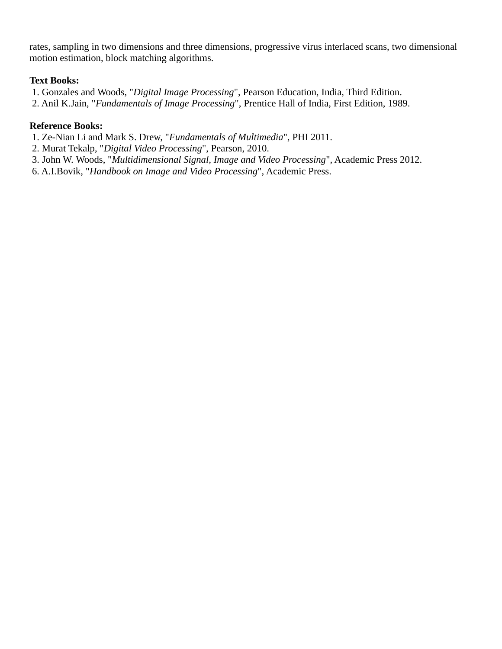rates, sampling in two dimensions and three dimensions, progressive virus interlaced scans, two dimensional motion estimation, block matching algorithms.

# **Text Books:**

1. Gonzales and Woods, "*Digital Image Processing*", Pearson Education, India, Third Edition.

2. Anil K.Jain, "*Fundamentals of Image Processing*", Prentice Hall of India, First Edition, 1989.

# **Reference Books:**

1. Ze-Nian Li and Mark S. Drew, "*Fundamentals of Multimedia*", PHI 2011.

2. Murat Tekalp, "*Digital Video Processing*", Pearson, 2010.

3. John W. Woods, "*Multidimensional Signal, Image and Video Processing*", Academic Press 2012.

6. A.I.Bovik, "*Handbook on Image and Video Processing*", Academic Press.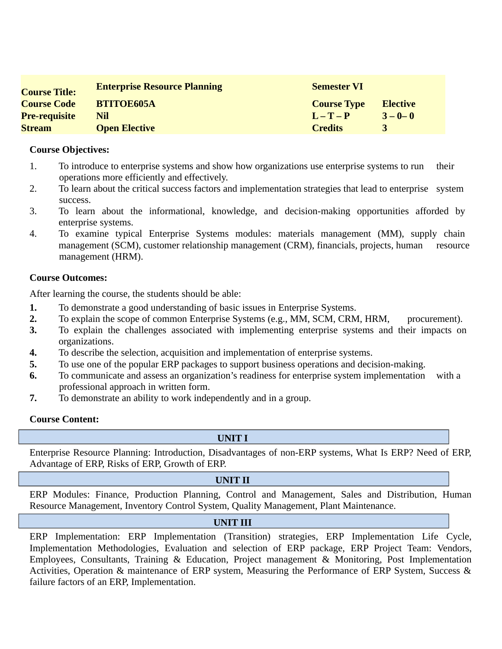| <b>Course Title:</b> | <b>Enterprise Resource Planning</b> | <b>Semester VI</b> |                 |
|----------------------|-------------------------------------|--------------------|-----------------|
| <b>Course Code</b>   | <b>BTITOE605A</b>                   | <b>Course Type</b> | <b>Elective</b> |
| <b>Pre-requisite</b> | Nil                                 | $L - T - P$        | $3 - 0 - 0$     |
| <b>Stream</b>        | <b>Open Elective</b>                | <b>Credits</b>     |                 |

- 1. To introduce to enterprise systems and show how organizations use enterprise systems to run their operations more efficiently and effectively.
- 2. To learn about the critical success factors and implementation strategies that lead to enterprise system success.
- 3. To learn about the informational, knowledge, and decision-making opportunities afforded by enterprise systems.
- 4. To examine typical Enterprise Systems modules: materials management (MM), supply chain management (SCM), customer relationship management (CRM), financials, projects, human resource management (HRM).

# **Course Outcomes:**

After learning the course, the students should be able:

- **1.** To demonstrate a good understanding of basic issues in Enterprise Systems.
- 2. To explain the scope of common Enterprise Systems (e.g., MM, SCM, CRM, HRM, procurement).
- **3.** To explain the challenges associated with implementing enterprise systems and their impacts on organizations.
- **4.** To describe the selection, acquisition and implementation of enterprise systems.
- **5.** To use one of the popular ERP packages to support business operations and decision-making.
- **6.** To communicate and assess an organization's readiness for enterprise system implementation with a professional approach in written form.
- **7.** To demonstrate an ability to work independently and in a group.

# **Course Content:**

#### **UNIT I**

Enterprise Resource Planning: Introduction, Disadvantages of non-ERP systems, What Is ERP? Need of ERP, Advantage of ERP, Risks of ERP, Growth of ERP.

#### **UNIT II**

ERP Modules: Finance, Production Planning, Control and Management, Sales and Distribution, Human Resource Management, Inventory Control System, Quality Management, Plant Maintenance.

#### **UNIT III**

ERP Implementation: ERP Implementation (Transition) strategies, ERP Implementation Life Cycle, Implementation Methodologies, Evaluation and selection of ERP package, ERP Project Team: Vendors, Employees, Consultants, Training & Education, Project management & Monitoring, Post Implementation Activities, Operation & maintenance of ERP system, Measuring the Performance of ERP System, Success & failure factors of an ERP, Implementation.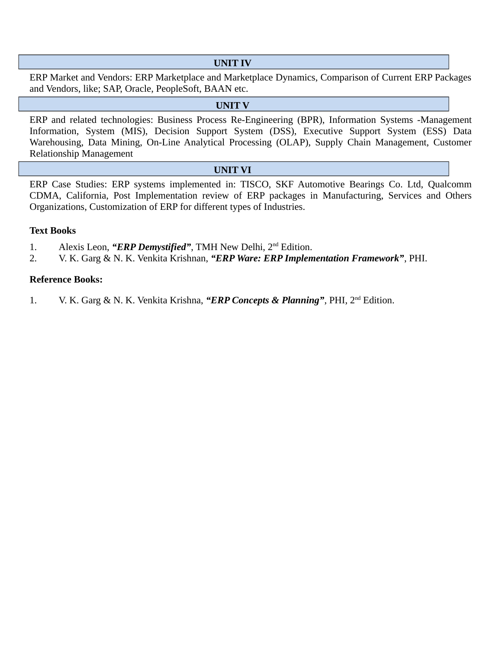#### **UNIT IV**

ERP Market and Vendors: ERP Marketplace and Marketplace Dynamics, Comparison of Current ERP Packages and Vendors, like; SAP, Oracle, PeopleSoft, BAAN etc.

#### **UNIT V**

ERP and related technologies: Business Process Re-Engineering (BPR), Information Systems -Management Information, System (MIS), Decision Support System (DSS), Executive Support System (ESS) Data Warehousing, Data Mining, On-Line Analytical Processing (OLAP), Supply Chain Management, Customer Relationship Management

#### **UNIT VI**

ERP Case Studies: ERP systems implemented in: TISCO, SKF Automotive Bearings Co. Ltd, Qualcomm CDMA, California, Post Implementation review of ERP packages in Manufacturing, Services and Others Organizations, Customization of ERP for different types of Industries.

#### **Text Books**

- 1. Alexis Leon, *"ERP Demystified"*, TMH New Delhi, 2nd Edition.
- 2. V. K. Garg & N. K. Venkita Krishnan, *"ERP Ware: ERP Implementation Framework"*, PHI.

#### **Reference Books:**

1. V. K. Garg & N. K. Venkita Krishna, *"ERP Concepts & Planning"*, PHI, 2nd Edition.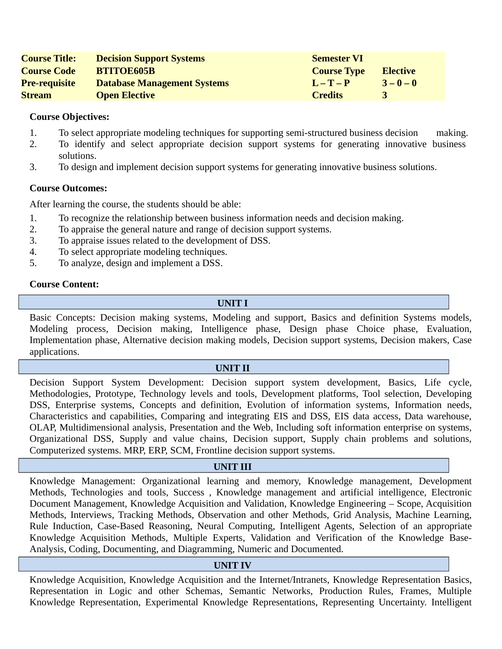| <b>Course Title:</b> | <b>Decision Support Systems</b>    | <b>Semester VI</b> |                 |
|----------------------|------------------------------------|--------------------|-----------------|
| <b>Course Code</b>   | <b>BTITOE605B</b>                  | <b>Course Type</b> | <b>Elective</b> |
| <b>Pre-requisite</b> | <b>Database Management Systems</b> | $L - T - P$        | $3 - 0 - 0$     |
| <b>Stream</b>        | <b>Open Elective</b>               | <b>Credits</b>     |                 |

- 1. To select appropriate modeling techniques for supporting semi-structured business decision making.
- 2. To identify and select appropriate decision support systems for generating innovative business solutions.
- 3. To design and implement decision support systems for generating innovative business solutions.

#### **Course Outcomes:**

After learning the course, the students should be able:

- 1. To recognize the relationship between business information needs and decision making.
- 2. To appraise the general nature and range of decision support systems.
- 3. To appraise issues related to the development of DSS.
- 4. To select appropriate modeling techniques.
- 5. To analyze, design and implement a DSS.

# **Course Content:**

#### **UNIT I**

Basic Concepts: Decision making systems, Modeling and support, Basics and definition Systems models, Modeling process, Decision making, Intelligence phase, Design phase Choice phase, Evaluation, Implementation phase, Alternative decision making models, Decision support systems, Decision makers, Case applications.

#### **UNIT II**

Decision Support System Development: Decision support system development, Basics, Life cycle, Methodologies, Prototype, Technology levels and tools, Development platforms, Tool selection, Developing DSS, Enterprise systems, Concepts and definition, Evolution of information systems, Information needs, Characteristics and capabilities, Comparing and integrating EIS and DSS, EIS data access, Data warehouse, OLAP, Multidimensional analysis, Presentation and the Web, Including soft information enterprise on systems, Organizational DSS, Supply and value chains, Decision support, Supply chain problems and solutions, Computerized systems. MRP, ERP, SCM, Frontline decision support systems.

#### **UNIT III**

Knowledge Management: Organizational learning and memory, Knowledge management, Development Methods, Technologies and tools, Success , Knowledge management and artificial intelligence, Electronic Document Management, Knowledge Acquisition and Validation, Knowledge Engineering – Scope, Acquisition Methods, Interviews, Tracking Methods, Observation and other Methods, Grid Analysis, Machine Learning, Rule Induction, Case-Based Reasoning, Neural Computing, Intelligent Agents, Selection of an appropriate Knowledge Acquisition Methods, Multiple Experts, Validation and Verification of the Knowledge Base-Analysis, Coding, Documenting, and Diagramming, Numeric and Documented.

#### **UNIT IV**

Knowledge Acquisition, Knowledge Acquisition and the Internet/Intranets, Knowledge Representation Basics, Representation in Logic and other Schemas, Semantic Networks, Production Rules, Frames, Multiple Knowledge Representation, Experimental Knowledge Representations, Representing Uncertainty. Intelligent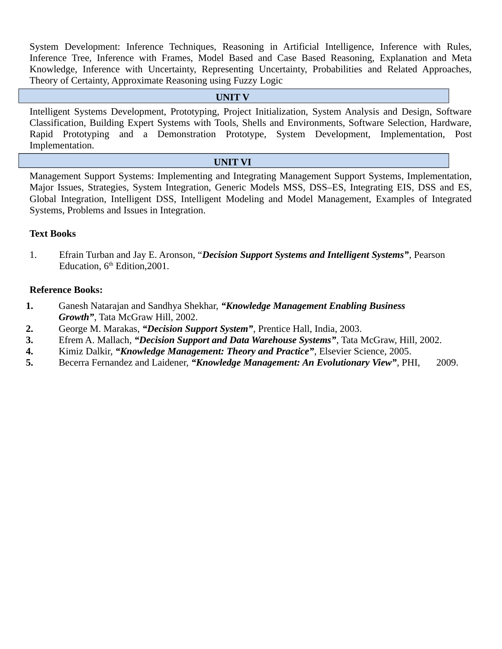System Development: Inference Techniques, Reasoning in Artificial Intelligence, Inference with Rules, Inference Tree, Inference with Frames, Model Based and Case Based Reasoning, Explanation and Meta Knowledge, Inference with Uncertainty, Representing Uncertainty, Probabilities and Related Approaches, Theory of Certainty, Approximate Reasoning using Fuzzy Logic

#### **UNIT V**

Intelligent Systems Development, Prototyping, Project Initialization, System Analysis and Design, Software Classification, Building Expert Systems with Tools, Shells and Environments, Software Selection, Hardware, Rapid Prototyping and a Demonstration Prototype, System Development, Implementation, Post Implementation.

#### **UNIT VI**

Management Support Systems: Implementing and Integrating Management Support Systems, Implementation, Major Issues, Strategies, System Integration, Generic Models MSS, DSS–ES, Integrating EIS, DSS and ES, Global Integration, Intelligent DSS, Intelligent Modeling and Model Management, Examples of Integrated Systems, Problems and Issues in Integration.

#### **Text Books**

1. Efrain Turban and Jay E. Aronson, "*Decision Support Systems and Intelligent Systems"*, Pearson Education, 6<sup>th</sup> Edition.2001.

- **1.** Ganesh Natarajan and Sandhya Shekhar, *"Knowledge Management Enabling Business Growth"*, Tata McGraw Hill, 2002.
- **2.** George M. Marakas, *"Decision Support System"*, Prentice Hall, India, 2003.
- **3.** Efrem A. Mallach, *"Decision Support and Data Warehouse Systems"*, Tata McGraw, Hill, 2002.
- **4.** Kimiz Dalkir, *"Knowledge Management: Theory and Practice"*, Elsevier Science, 2005.
- **5.** Becerra Fernandez and Laidener, *"Knowledge Management: An Evolutionary View"*, PHI, 2009.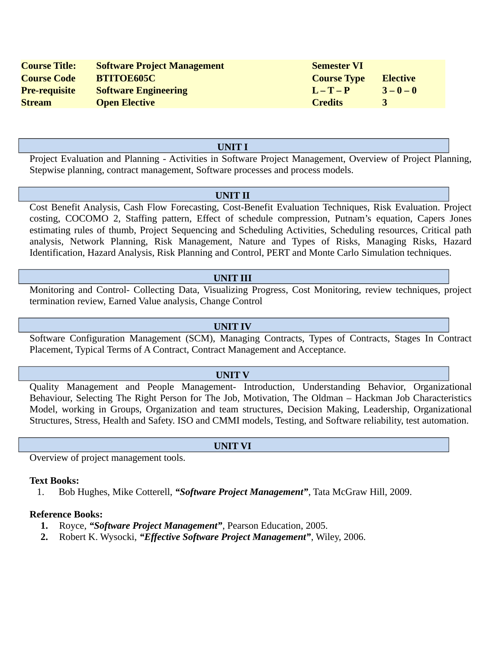| <b>Course Title:</b> | <b>Software Project Management</b> | <b>Semester VI</b> |                 |
|----------------------|------------------------------------|--------------------|-----------------|
| <b>Course Code</b>   | <b>BTITOE605C</b>                  | <b>Course Type</b> | <b>Elective</b> |
| <b>Pre-requisite</b> | <b>Software Engineering</b>        | $L - T - P$        | $3 - 0 - 0$     |
| <b>Stream</b>        | <b>Open Elective</b>               | <b>Credits</b>     |                 |

#### **UNIT I**

Project Evaluation and Planning - Activities in Software Project Management, Overview of Project Planning, Stepwise planning, contract management, Software processes and process models.

#### **UNIT II**

Cost Benefit Analysis, Cash Flow Forecasting, Cost-Benefit Evaluation Techniques, Risk Evaluation. Project costing, COCOMO 2, Staffing pattern, Effect of schedule compression, Putnam's equation, Capers Jones estimating rules of thumb, Project Sequencing and Scheduling Activities, Scheduling resources, Critical path analysis, Network Planning, Risk Management, Nature and Types of Risks, Managing Risks, Hazard Identification, Hazard Analysis, Risk Planning and Control, PERT and Monte Carlo Simulation techniques.

#### **UNIT III**

Monitoring and Control- Collecting Data, Visualizing Progress, Cost Monitoring, review techniques, project termination review, Earned Value analysis, Change Control

#### **UNIT IV**

Software Configuration Management (SCM), Managing Contracts, Types of Contracts, Stages In Contract Placement, Typical Terms of A Contract, Contract Management and Acceptance.

#### **UNIT V**

Quality Management and People Management- Introduction, Understanding Behavior, Organizational Behaviour, Selecting The Right Person for The Job, Motivation, The Oldman – Hackman Job Characteristics Model, working in Groups, Organization and team structures, Decision Making, Leadership, Organizational Structures, Stress, Health and Safety. ISO and CMMI models, Testing, and Software reliability, test automation.

Overview of project management tools.

#### **Text Books:**

1. Bob Hughes, Mike Cotterell, *"Software Project Management"*, Tata McGraw Hill, 2009.

#### **Reference Books:**

- **1.** Royce, *"Software Project Management"*, Pearson Education, 2005.
- **2.** Robert K. Wysocki, *"Effective Software Project Management"*, Wiley, 2006.

**UNIT VI**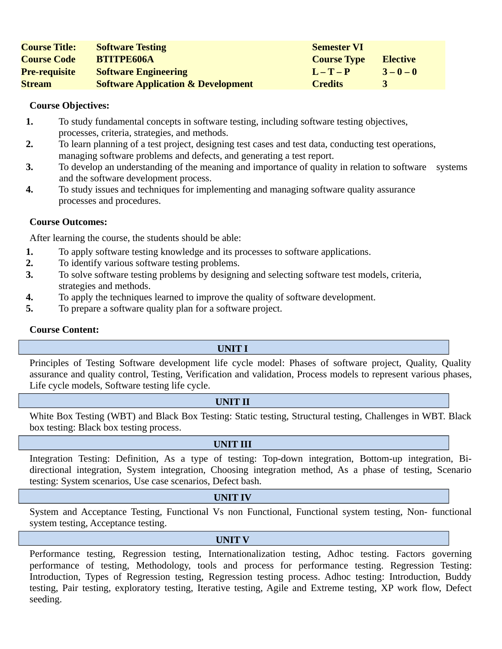| <b>Course Title:</b> | <b>Software Testing</b>                       | <b>Semester VI</b> |                 |
|----------------------|-----------------------------------------------|--------------------|-----------------|
| <b>Course Code</b>   | <b>BTITPE606A</b>                             | <b>Course Type</b> | <b>Elective</b> |
| <b>Pre-requisite</b> | <b>Software Engineering</b>                   | $L - T - P$        | $3 - 0 - 0$     |
| <b>Stream</b>        | <b>Software Application &amp; Development</b> | <b>Credits</b>     |                 |

- **1.** To study fundamental concepts in software testing, including software testing objectives, processes, criteria, strategies, and methods.
- **2.** To learn planning of a test project, designing test cases and test data, conducting test operations, managing software problems and defects, and generating a test report.
- **3.** To develop an understanding of the meaning and importance of quality in relation to software systems and the software development process.
- **4.** To study issues and techniques for implementing and managing software quality assurance processes and procedures.

#### **Course Outcomes:**

After learning the course, the students should be able:

- **1.** To apply software testing knowledge and its processes to software applications.
- **2.** To identify various software testing problems.
- **3.** To solve software testing problems by designing and selecting software test models, criteria, strategies and methods.
- **4.** To apply the techniques learned to improve the quality of software development.
- **5.** To prepare a software quality plan for a software project.

#### **Course Content:**

#### **UNIT I**

Principles of Testing Software development life cycle model: Phases of software project, Quality, Quality assurance and quality control, Testing, Verification and validation, Process models to represent various phases, Life cycle models, Software testing life cycle.

#### **UNIT II**

White Box Testing (WBT) and Black Box Testing: Static testing, Structural testing, Challenges in WBT. Black box testing: Black box testing process.

#### **UNIT III**

Integration Testing: Definition, As a type of testing: Top-down integration, Bottom-up integration, Bidirectional integration, System integration, Choosing integration method, As a phase of testing, Scenario testing: System scenarios, Use case scenarios, Defect bash.

#### **UNIT IV**

System and Acceptance Testing, Functional Vs non Functional, Functional system testing, Non- functional system testing, Acceptance testing.

#### **UNIT V**

Performance testing, Regression testing, Internationalization testing, Adhoc testing. Factors governing performance of testing, Methodology, tools and process for performance testing. Regression Testing: Introduction, Types of Regression testing, Regression testing process. Adhoc testing: Introduction, Buddy testing, Pair testing, exploratory testing, Iterative testing, Agile and Extreme testing, XP work flow, Defect seeding.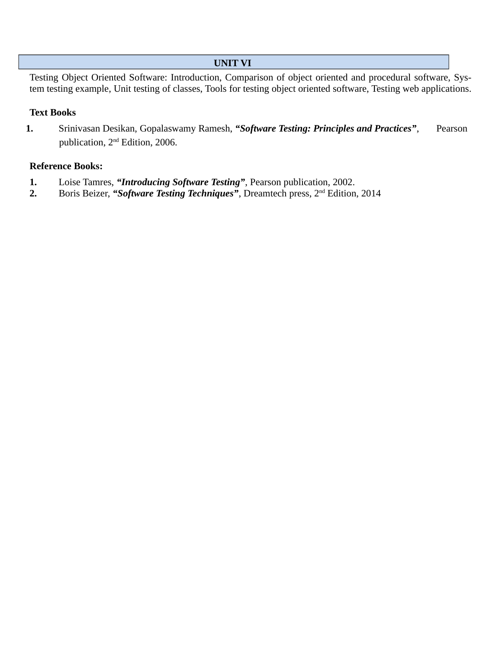#### **UNIT VI**

Testing Object Oriented Software: Introduction, Comparison of object oriented and procedural software, System testing example, Unit testing of classes, Tools for testing object oriented software, Testing web applications.

#### **Text Books**

**1.** Srinivasan Desikan, Gopalaswamy Ramesh, *"Software Testing: Principles and Practices"*, Pearson publication, 2nd Edition, 2006.

- **1.** Loise Tamres, *"Introducing Software Testing"*, Pearson publication, 2002.
- 2. Boris Beizer, "Software Testing Techniques", Dreamtech press, 2<sup>nd</sup> Edition, 2014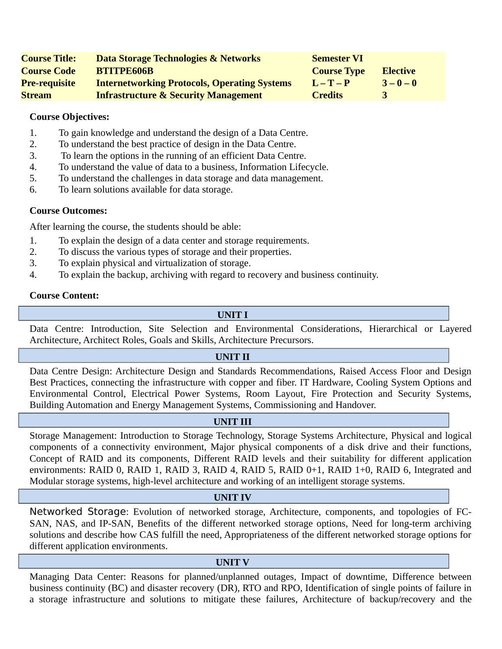| <b>Course Title:</b> | Data Storage Technologies & Networks                | <b>Semester VI</b> |                 |
|----------------------|-----------------------------------------------------|--------------------|-----------------|
| <b>Course Code</b>   | <b>BTITPE606B</b>                                   | <b>Course Type</b> | <b>Elective</b> |
| <b>Pre-requisite</b> | <b>Internetworking Protocols, Operating Systems</b> | $L - T - P$        | $3 - 0 - 0$     |
| <b>Stream</b>        | <b>Infrastructure &amp; Security Management</b>     | <b>Credits</b>     |                 |

- 1. To gain knowledge and understand the design of a Data Centre.
- 2. To understand the best practice of design in the Data Centre.
- 3. To learn the options in the running of an efficient Data Centre.
- 4. To understand the value of data to a business, Information Lifecycle.
- 5. To understand the challenges in data storage and data management.
- 6. To learn solutions available for data storage.

# **Course Outcomes:**

After learning the course, the students should be able:

- 1. To explain the design of a data center and storage requirements.
- 2. To discuss the various types of storage and their properties.
- 3. To explain physical and virtualization of storage.
- 4. To explain the backup, archiving with regard to recovery and business continuity.

# **Course Content:**

# **UNIT I**

Data Centre: Introduction, Site Selection and Environmental Considerations, Hierarchical or Layered Architecture, Architect Roles, Goals and Skills, Architecture Precursors.

#### **UNIT II**

Data Centre Design: Architecture Design and Standards Recommendations, Raised Access Floor and Design Best Practices, connecting the infrastructure with copper and fiber. IT Hardware, Cooling System Options and Environmental Control, Electrical Power Systems, Room Layout, Fire Protection and Security Systems, Building Automation and Energy Management Systems, Commissioning and Handover.

# **UNIT III**

Storage Management: Introduction to Storage Technology, Storage Systems Architecture, Physical and logical components of a connectivity environment, Major physical components of a disk drive and their functions, Concept of RAID and its components, Different RAID levels and their suitability for different application environments: RAID 0, RAID 1, RAID 3, RAID 4, RAID 5, RAID 0+1, RAID 1+0, RAID 6, Integrated and Modular storage systems, high-level architecture and working of an intelligent storage systems.

#### **UNIT IV**

Networked Storage: Evolution of networked storage, Architecture, components, and topologies of FC-SAN, NAS, and IP-SAN, Benefits of the different networked storage options, Need for long-term archiving solutions and describe how CAS fulfill the need, Appropriateness of the different networked storage options for different application environments.

#### **UNIT V**

Managing Data Center: Reasons for planned/unplanned outages, Impact of downtime, Difference between business continuity (BC) and disaster recovery (DR), RTO and RPO, Identification of single points of failure in a storage infrastructure and solutions to mitigate these failures, Architecture of backup/recovery and the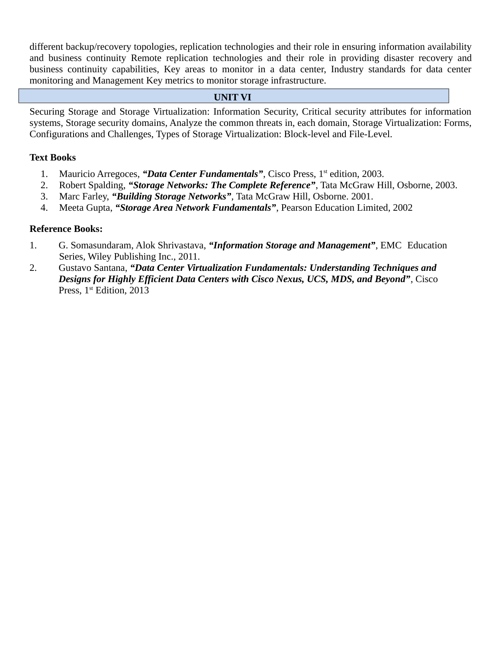different backup/recovery topologies, replication technologies and their role in ensuring information availability and business continuity Remote replication technologies and their role in providing disaster recovery and business continuity capabilities, Key areas to monitor in a data center, Industry standards for data center monitoring and Management Key metrics to monitor storage infrastructure.

## **UNIT VI**

Securing Storage and Storage Virtualization: Information Security, Critical security attributes for information systems, Storage security domains, Analyze the common threats in, each domain, Storage Virtualization: Forms, Configurations and Challenges, Types of Storage Virtualization: Block-level and File-Level.

# **Text Books**

- 1. Mauricio Arregoces, "Data Center Fundamentals", Cisco Press, 1<sup>st</sup> edition, 2003.
- 2. Robert Spalding, *"Storage Networks: The Complete Reference"*, Tata McGraw Hill, Osborne, 2003.
- 3. Marc Farley, *"Building Storage Networks"*, Tata McGraw Hill, Osborne. 2001.
- 4. Meeta Gupta, *"Storage Area Network Fundamentals"*, Pearson Education Limited, 2002

- 1. G. Somasundaram, Alok Shrivastava, *"Information Storage and Management"*, EMC Education Series, Wiley Publishing Inc., 2011.
- 2. Gustavo Santana, *"Data Center Virtualization Fundamentals: Understanding Techniques and Designs for Highly Efficient Data Centers with Cisco Nexus, UCS, MDS, and Beyond"*, Cisco Press,  $1<sup>st</sup>$  Edition, 2013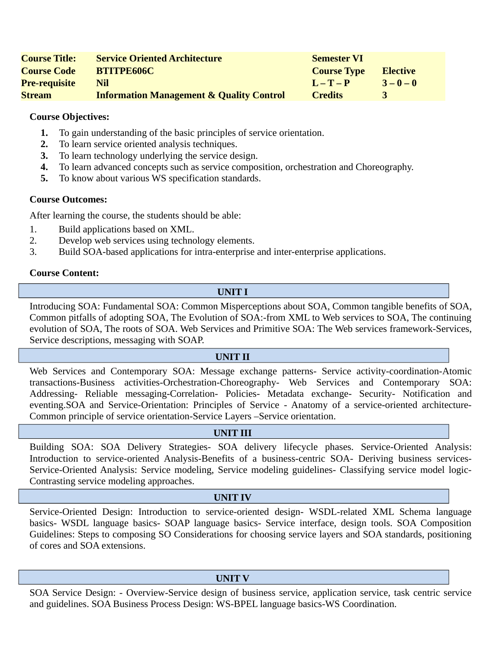| <b>Course Title:</b> | <b>Service Oriented Architecture</b>                | <b>Semester VI</b> |                 |
|----------------------|-----------------------------------------------------|--------------------|-----------------|
| <b>Course Code</b>   | <b>BTITPE606C</b>                                   | <b>Course Type</b> | <b>Elective</b> |
| <b>Pre-requisite</b> | Nil                                                 | $L - T - P$        | $3 - 0 - 0$     |
| <b>Stream</b>        | <b>Information Management &amp; Quality Control</b> | <b>Credits</b>     |                 |

- **1.** To gain understanding of the basic principles of service orientation.
- **2.** To learn service oriented analysis techniques.
- **3.** To learn technology underlying the service design.
- **4.** To learn advanced concepts such as service composition, orchestration and Choreography.
- **5.** To know about various WS specification standards.

#### **Course Outcomes:**

After learning the course, the students should be able:

- 1. Build applications based on XML.
- 2. Develop web services using technology elements.
- 3. Build SOA-based applications for intra-enterprise and inter-enterprise applications.

#### **Course Content:**

#### **UNIT I**

Introducing SOA: Fundamental SOA: Common Misperceptions about SOA, Common tangible benefits of SOA, Common pitfalls of adopting SOA, The Evolution of SOA:-from XML to Web services to SOA, The continuing evolution of SOA, The roots of SOA. Web Services and Primitive SOA: The Web services framework-Services, Service descriptions, messaging with SOAP.

#### **UNIT II**

Web Services and Contemporary SOA: Message exchange patterns- Service activity-coordination-Atomic transactions-Business activities-Orchestration-Choreography- Web Services and Contemporary SOA: Addressing- Reliable messaging-Correlation- Policies- Metadata exchange- Security- Notification and eventing.SOA and Service-Orientation: Principles of Service - Anatomy of a service-oriented architecture-Common principle of service orientation-Service Layers –Service orientation.

#### **UNIT III**

Building SOA: SOA Delivery Strategies- SOA delivery lifecycle phases. Service-Oriented Analysis: Introduction to service-oriented Analysis-Benefits of a business-centric SOA- Deriving business services-Service-Oriented Analysis: Service modeling, Service modeling guidelines- Classifying service model logic-Contrasting service modeling approaches.

#### **UNIT IV**

Service-Oriented Design: Introduction to service-oriented design- WSDL-related XML Schema language basics- WSDL language basics- SOAP language basics- Service interface, design tools. SOA Composition Guidelines: Steps to composing SO Considerations for choosing service layers and SOA standards, positioning of cores and SOA extensions.

#### **UNIT V**

SOA Service Design: - Overview-Service design of business service, application service, task centric service and guidelines. SOA Business Process Design: WS-BPEL language basics-WS Coordination.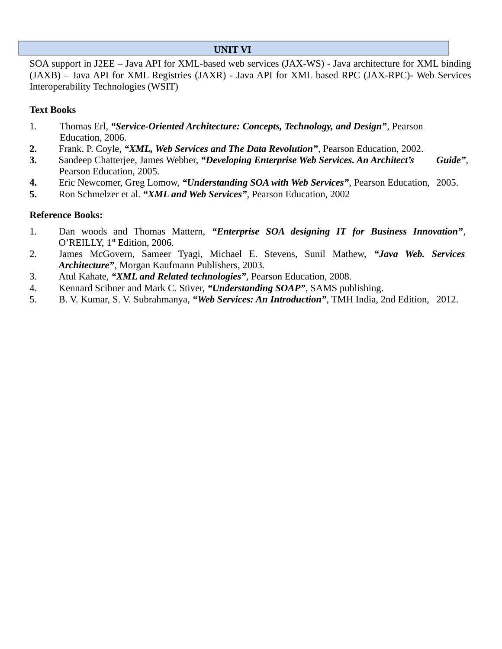# **UNIT VI**

SOA support in J2EE – Java API for XML-based web services (JAX-WS) - Java architecture for XML binding (JAXB) – Java API for XML Registries (JAXR) - Java API for XML based RPC (JAX-RPC)- Web Services Interoperability Technologies (WSIT)

# **Text Books**

- 1. Thomas Erl, *"Service-Oriented Architecture: Concepts, Technology, and Design"*, Pearson Education, 2006.
- **2.** Frank. P. Coyle, *"XML, Web Services and The Data Revolution"*, Pearson Education, 2002.
- **3.** Sandeep Chatterjee, James Webber, *"Developing Enterprise Web Services. An Architect's Guide"*, Pearson Education, 2005.
- **4.** Eric Newcomer, Greg Lomow, *"Understanding SOA with Web Services"*, Pearson Education, 2005.
- **5.** Ron Schmelzer et al. *"XML and Web Services"*, Pearson Education, 2002

- 1. Dan woods and Thomas Mattern, *"Enterprise SOA designing IT for Business Innovation"*, O'REILLY, 1<sup>st</sup> Edition, 2006.
- 2. James McGovern, Sameer Tyagi, Michael E. Stevens, Sunil Mathew, *"Java Web. Services Architecture"*, Morgan Kaufmann Publishers, 2003.
- 3. Atul Kahate, *"XML and Related technologies"*, Pearson Education, 2008.
- 4. Kennard Scibner and Mark C. Stiver, *"Understanding SOAP"*, SAMS publishing.
- 5. B. V. Kumar, S. V. Subrahmanya, *"Web Services: An Introduction"*, TMH India, 2nd Edition, 2012.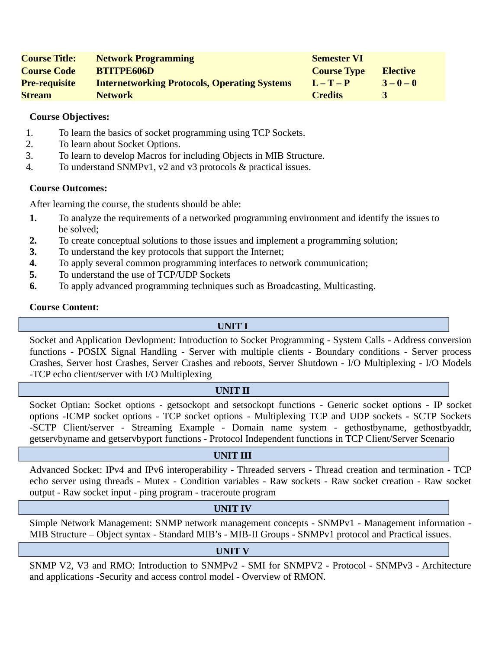| <b>Course Title:</b> | <b>Network Programming</b>                          | <b>Semester VI</b> |                 |
|----------------------|-----------------------------------------------------|--------------------|-----------------|
| <b>Course Code</b>   | <b>BTITPE606D</b>                                   | <b>Course Type</b> | <b>Elective</b> |
| <b>Pre-requisite</b> | <b>Internetworking Protocols, Operating Systems</b> | $L - T - P$        | $3 - 0 - 0$     |
| <b>Stream</b>        | <b>Network</b>                                      | <b>Credits</b>     |                 |

- 1. To learn the basics of socket programming using TCP Sockets.
- 2. To learn about Socket Options.
- 3. To learn to develop Macros for including Objects in MIB Structure.
- 4. To understand SNMPv1, v2 and v3 protocols & practical issues.

# **Course Outcomes:**

After learning the course, the students should be able:

- **1.** To analyze the requirements of a networked programming environment and identify the issues to be solved;
- **2.** To create conceptual solutions to those issues and implement a programming solution;
- **3.** To understand the key protocols that support the Internet;
- **4.** To apply several common programming interfaces to network communication;
- **5.** To understand the use of TCP/UDP Sockets
- **6.** To apply advanced programming techniques such as Broadcasting, Multicasting.

# **Course Content:**

# **UNIT I**

Socket and Application Devlopment: Introduction to Socket Programming - System Calls - Address conversion functions - POSIX Signal Handling - Server with multiple clients - Boundary conditions - Server process Crashes, Server host Crashes, Server Crashes and reboots, Server Shutdown - I/O Multiplexing - I/O Models -TCP echo client/server with I/O Multiplexing

# **UNIT II**

Socket Optian: Socket options - getsockopt and setsockopt functions - Generic socket options - IP socket options -ICMP socket options - TCP socket options - Multiplexing TCP and UDP sockets - SCTP Sockets -SCTP Client/server - Streaming Example - Domain name system - gethostbyname, gethostbyaddr, getservbyname and getservbyport functions - Protocol Independent functions in TCP Client/Server Scenario

# **UNIT III**

Advanced Socket: IPv4 and IPv6 interoperability - Threaded servers - Thread creation and termination - TCP echo server using threads - Mutex - Condition variables - Raw sockets - Raw socket creation - Raw socket output - Raw socket input - ping program - traceroute program

# **UNIT IV**

Simple Network Management: SNMP network management concepts - SNMPv1 - Management information - MIB Structure – Object syntax - Standard MIB's - MIB-II Groups - SNMPv1 protocol and Practical issues.

# **UNIT V**

SNMP V2, V3 and RMO: Introduction to SNMPv2 - SMI for SNMPV2 - Protocol - SNMPv3 - Architecture and applications -Security and access control model - Overview of RMON.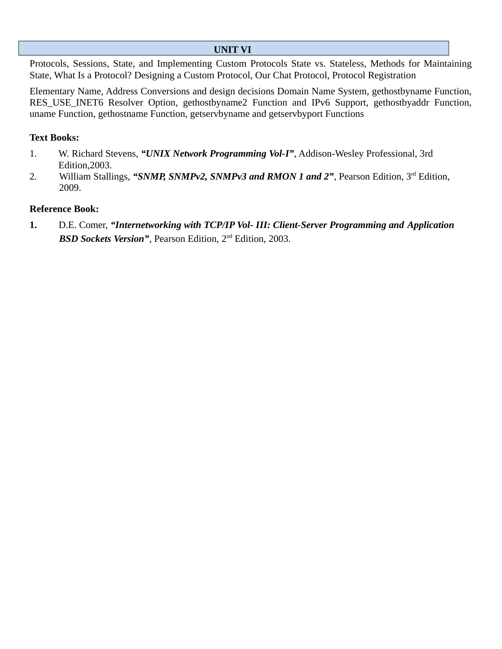# **UNIT VI**

Protocols, Sessions, State, and Implementing Custom Protocols State vs. Stateless, Methods for Maintaining State, What Is a Protocol? Designing a Custom Protocol, Our Chat Protocol, Protocol Registration

Elementary Name, Address Conversions and design decisions Domain Name System, gethostbyname Function, RES\_USE\_INET6 Resolver Option, gethostbyname2 Function and IPv6 Support, gethostbyaddr Function, uname Function, gethostname Function, getservbyname and getservbyport Functions

# **Text Books:**

- 1. W. Richard Stevens, *"UNIX Network Programming Vol-I"*, Addison-Wesley Professional, 3rd Edition,2003.
- 2. William Stallings, "**SNMP, SNMPv2, SNMPv3 and RMON 1 and 2"**, Pearson Edition, 3<sup>rd</sup> Edition, 2009.

# **Reference Book:**

**1.** D.E. Comer, *"Internetworking with TCP/IP Vol- III: Client-Server Programming and Application BSD Sockets Version"*, Pearson Edition, 2nd Edition, 2003.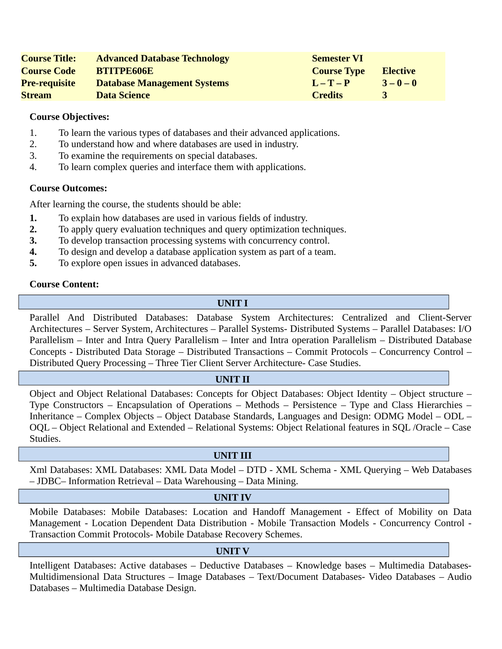| <b>Course Title:</b> | <b>Advanced Database Technology</b> | <b>Semester VI</b> |                 |
|----------------------|-------------------------------------|--------------------|-----------------|
| <b>Course Code</b>   | <b>BTITPE606E</b>                   | <b>Course Type</b> | <b>Elective</b> |
| <b>Pre-requisite</b> | <b>Database Management Systems</b>  | $L - T - P$        | $3 - 0 - 0$     |
| <b>Stream</b>        | <b>Data Science</b>                 | <b>Credits</b>     |                 |

- 1. To learn the various types of databases and their advanced applications.
- 2. To understand how and where databases are used in industry.
- 3. To examine the requirements on special databases.
- 4. To learn complex queries and interface them with applications.

#### **Course Outcomes:**

After learning the course, the students should be able:

- **1.** To explain how databases are used in various fields of industry.
- **2.** To apply query evaluation techniques and query optimization techniques.
- **3.** To develop transaction processing systems with concurrency control.
- **4.** To design and develop a database application system as part of a team.
- **5.** To explore open issues in advanced databases.

# **Course Content:**

# **UNIT I**

Parallel And Distributed Databases: Database System Architectures: Centralized and Client-Server Architectures – Server System, Architectures – Parallel Systems- Distributed Systems – Parallel Databases: I/O Parallelism – Inter and Intra Query Parallelism – Inter and Intra operation Parallelism – Distributed Database Concepts - Distributed Data Storage – Distributed Transactions – Commit Protocols – Concurrency Control – Distributed Query Processing – Three Tier Client Server Architecture- Case Studies.

#### **UNIT II**

Object and Object Relational Databases: Concepts for Object Databases: Object Identity – Object structure – Type Constructors – Encapsulation of Operations – Methods – Persistence – Type and Class Hierarchies – Inheritance – Complex Objects – Object Database Standards, Languages and Design: ODMG Model – ODL – OQL – Object Relational and Extended – Relational Systems: Object Relational features in SQL /Oracle – Case Studies.

#### **UNIT III**

Xml Databases: XML Databases: XML Data Model – DTD - XML Schema - XML Querying – Web Databases – JDBC– Information Retrieval – Data Warehousing – Data Mining.

#### **UNIT IV**

Mobile Databases: Mobile Databases: Location and Handoff Management - Effect of Mobility on Data Management - Location Dependent Data Distribution - Mobile Transaction Models - Concurrency Control - Transaction Commit Protocols- Mobile Database Recovery Schemes.

#### **UNIT V**

Intelligent Databases: Active databases – Deductive Databases – Knowledge bases – Multimedia Databases-Multidimensional Data Structures – Image Databases – Text/Document Databases- Video Databases – Audio Databases – Multimedia Database Design.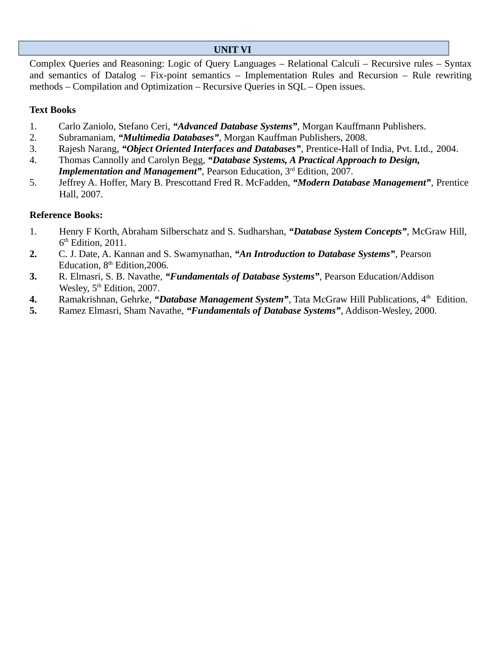# **UNIT VI**

Complex Queries and Reasoning: Logic of Query Languages – Relational Calculi – Recursive rules – Syntax and semantics of Datalog – Fix-point semantics – Implementation Rules and Recursion – Rule rewriting methods – Compilation and Optimization – Recursive Queries in SQL – Open issues.

# **Text Books**

- 1. Carlo Zaniolo, Stefano Ceri, *"Advanced Database Systems"*, Morgan Kauffmann Publishers.
- 2. Subramaniam, *"Multimedia Databases"*, Morgan Kauffman Publishers, 2008.
- 3. Rajesh Narang, *"Object Oriented Interfaces and Databases"*, Prentice-Hall of India, Pvt. Ltd., 2004.
- 4. Thomas Cannolly and Carolyn Begg, *"Database Systems, A Practical Approach to Design,*  **Implementation and Management"**, Pearson Education, 3<sup>rd</sup> Edition, 2007.
- 5. Jeffrey A. Hoffer, Mary B. Prescottand Fred R. McFadden, *"Modern Database Management"*, Prentice Hall, 2007.

- 1. Henry F Korth, Abraham Silberschatz and S. Sudharshan, *"Database System Concepts"*, McGraw Hill,  $6<sup>th</sup>$  Edition, 2011.
- **2.** C. J. Date, A. Kannan and S. Swamynathan, *"An Introduction to Database Systems"*, Pearson Education,  $8<sup>th</sup>$  Edition, 2006.
- **3.** R. Elmasri, S. B. Navathe, *"Fundamentals of Database Systems"*, Pearson Education/Addison Wesley, 5<sup>th</sup> Edition, 2007.
- 4. Ramakrishnan, Gehrke, "Database Management System", Tata McGraw Hill Publications, 4<sup>th</sup> Edition.
- **5.** Ramez Elmasri, Sham Navathe, *"Fundamentals of Database Systems"*, Addison-Wesley, 2000.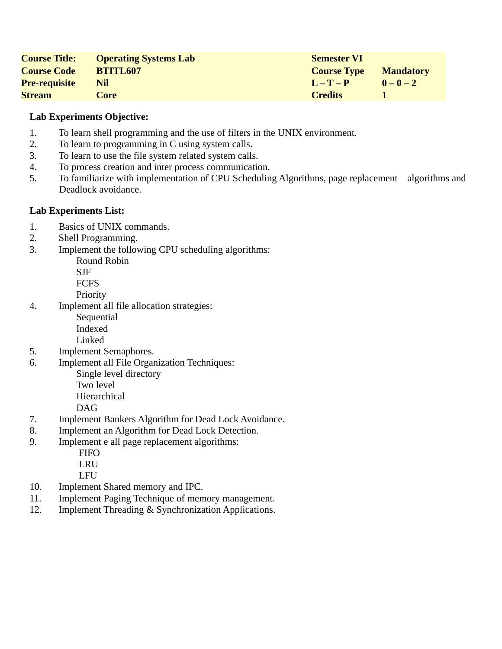| <b>Course Title:</b> | <b>Operating Systems Lab</b> | <b>Semester VI</b> |                  |
|----------------------|------------------------------|--------------------|------------------|
| <b>Course Code</b>   | <b>BTITL607</b>              | <b>Course Type</b> | <b>Mandatory</b> |
| <b>Pre-requisite</b> | Nil                          | $L - T - P$        | $0 - 0 - 2$      |
| <b>Stream</b>        | Core                         | <b>Credits</b>     |                  |

- 1. To learn shell programming and the use of filters in the UNIX environment.
- 2. To learn to programming in C using system calls.
- 3. To learn to use the file system related system calls.
- 4. To process creation and inter process communication.
- 5. To familiarize with implementation of CPU Scheduling Algorithms, page replacement algorithms and Deadlock avoidance.

# **Lab Experiments List:**

- 1. Basics of UNIX commands.
- 2. Shell Programming.
- 3. Implement the following CPU scheduling algorithms:

Round Robin

SJF

FCFS

Priority

4. Implement all file allocation strategies:

**Sequential** 

 Indexed Linked

- 5. Implement Semaphores.
- 6. Implement all File Organization Techniques: Single level directory Two level

Hierarchical

DAG

- 7. Implement Bankers Algorithm for Dead Lock Avoidance.
- 8. Implement an Algorithm for Dead Lock Detection.
- 9. Implement e all page replacement algorithms:
	- **FIFO**
	- LRU

LFU

- 10. Implement Shared memory and IPC.
- 11. Implement Paging Technique of memory management.
- 12. Implement Threading & Synchronization Applications.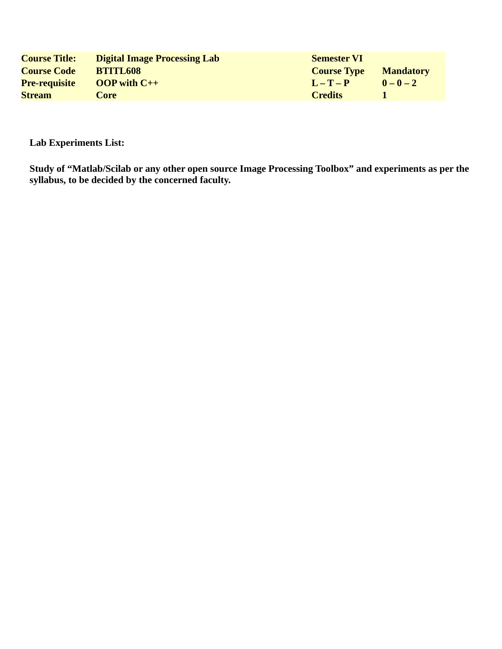| <b>Course Title:</b> | <b>Digital Image Processing Lab</b> | <b>Semester VI</b> |                  |
|----------------------|-------------------------------------|--------------------|------------------|
| <b>Course Code</b>   | <b>BTITL608</b>                     | <b>Course Type</b> | <b>Mandatory</b> |
| <b>Pre-requisite</b> | $OOP$ with $C++$                    | $L - T - P$        | $0 - 0 - 2$      |
| <b>Stream</b>        | Core                                | <b>Credits</b>     |                  |

# **Lab Experiments List:**

**Study of "Matlab/Scilab or any other open source Image Processing Toolbox" and experiments as per the syllabus, to be decided by the concerned faculty.**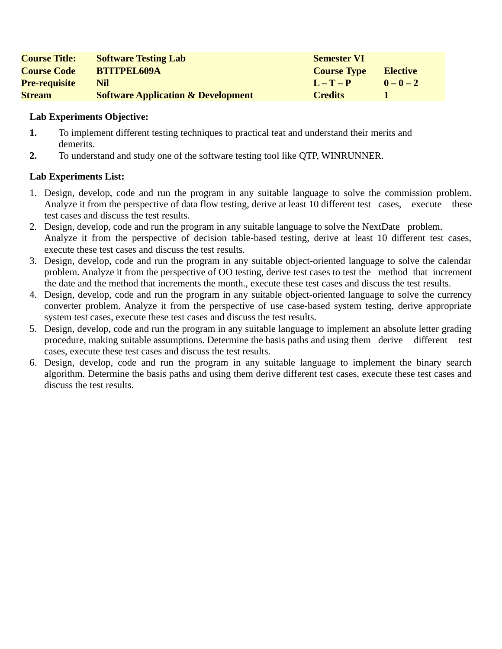| <b>Course Title:</b> | <b>Software Testing Lab</b>                   | <b>Semester VI</b> |                 |
|----------------------|-----------------------------------------------|--------------------|-----------------|
| <b>Course Code</b>   | <b>BTITPEL609A</b>                            | <b>Course Type</b> | <b>Elective</b> |
| <b>Pre-requisite</b> | Nil                                           | $L - T - P$        | $0 - 0 - 2$     |
| <b>Stream</b>        | <b>Software Application &amp; Development</b> | <b>Credits</b>     |                 |

- **1.** To implement different testing techniques to practical teat and understand their merits and demerits.
- **2.** To understand and study one of the software testing tool like QTP, WINRUNNER.

- 1. Design, develop, code and run the program in any suitable language to solve the commission problem. Analyze it from the perspective of data flow testing, derive at least 10 different test cases, execute these test cases and discuss the test results.
- 2. Design, develop, code and run the program in any suitable language to solve the NextDate problem. Analyze it from the perspective of decision table-based testing, derive at least 10 different test cases, execute these test cases and discuss the test results.
- 3. Design, develop, code and run the program in any suitable object-oriented language to solve the calendar problem. Analyze it from the perspective of OO testing, derive test cases to test the method that increment the date and the method that increments the month., execute these test cases and discuss the test results.
- 4. Design, develop, code and run the program in any suitable object-oriented language to solve the currency converter problem. Analyze it from the perspective of use case-based system testing, derive appropriate system test cases, execute these test cases and discuss the test results.
- 5. Design, develop, code and run the program in any suitable language to implement an absolute letter grading procedure, making suitable assumptions. Determine the basis paths and using them derive different test cases, execute these test cases and discuss the test results.
- 6. Design, develop, code and run the program in any suitable language to implement the binary search algorithm. Determine the basis paths and using them derive different test cases, execute these test cases and discuss the test results.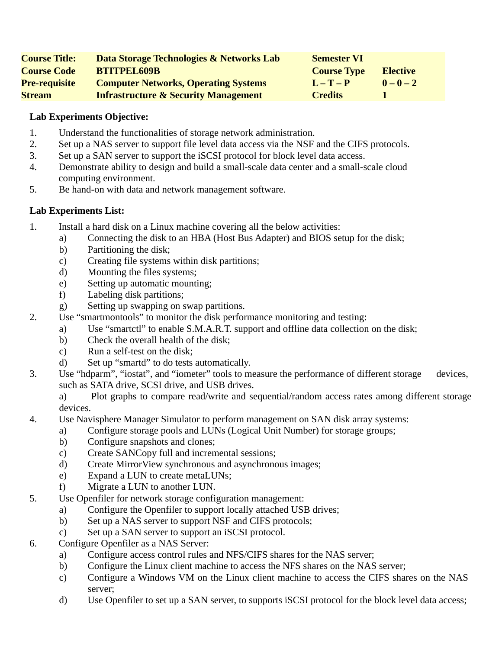| <b>Course Title:</b> | Data Storage Technologies & Networks Lab        | <b>Semester VI</b> |                 |
|----------------------|-------------------------------------------------|--------------------|-----------------|
| <b>Course Code</b>   | <b>BTITPEL609B</b>                              | <b>Course Type</b> | <b>Elective</b> |
| <b>Pre-requisite</b> | <b>Computer Networks, Operating Systems</b>     | $I - T - P$        | $0 - 0 - 2$     |
| <b>Stream</b>        | <b>Infrastructure &amp; Security Management</b> | <b>Credits</b>     |                 |

- 1. Understand the functionalities of storage network administration.
- 2. Set up a NAS server to support file level data access via the NSF and the CIFS protocols.
- 3. Set up a SAN server to support the iSCSI protocol for block level data access.
- 4. Demonstrate ability to design and build a small-scale data center and a small-scale cloud computing environment.
- 5. Be hand-on with data and network management software.

- 1. Install a hard disk on a Linux machine covering all the below activities:
	- a) Connecting the disk to an HBA (Host Bus Adapter) and BIOS setup for the disk;
	- b) Partitioning the disk;
	- c) Creating file systems within disk partitions;
	- d) Mounting the files systems;
	- e) Setting up automatic mounting;
	- f) Labeling disk partitions;
	- g) Setting up swapping on swap partitions.
- 2. Use "smartmontools" to monitor the disk performance monitoring and testing:
	- a) Use "smartctl" to enable S.M.A.R.T. support and offline data collection on the disk;
	- b) Check the overall health of the disk;
	- c) Run a self-test on the disk;
	- d) Set up "smartd" to do tests automatically.
- 3. Use "hdparm", "iostat", and "iometer" tools to measure the performance of different storage devices, such as SATA drive, SCSI drive, and USB drives.
	- a) Plot graphs to compare read/write and sequential/random access rates among different storage devices.
- 4. Use Navisphere Manager Simulator to perform management on SAN disk array systems:
	- a) Configure storage pools and LUNs (Logical Unit Number) for storage groups;
	- b) Configure snapshots and clones;
	- c) Create SANCopy full and incremental sessions;
	- d) Create MirrorView synchronous and asynchronous images;
	- e) Expand a LUN to create metaLUNs;
	- f) Migrate a LUN to another LUN.
- 5. Use Openfiler for network storage configuration management:
	- a) Configure the Openfiler to support locally attached USB drives;
	- b) Set up a NAS server to support NSF and CIFS protocols;
	- c) Set up a SAN server to support an iSCSI protocol.
- 6. Configure Openfiler as a NAS Server:
	- a) Configure access control rules and NFS/CIFS shares for the NAS server;
	- b) Configure the Linux client machine to access the NFS shares on the NAS server;
	- c) Configure a Windows VM on the Linux client machine to access the CIFS shares on the NAS server;
	- d) Use Openfiler to set up a SAN server, to supports iSCSI protocol for the block level data access;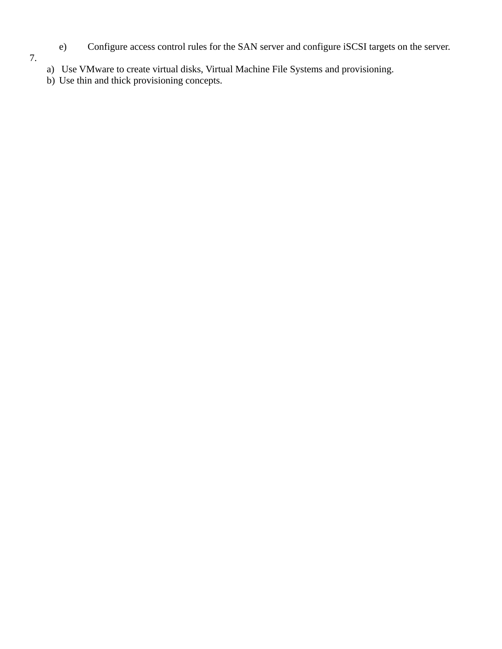- e) Configure access control rules for the SAN server and configure iSCSI targets on the server.
- 7.
- a) Use VMware to create virtual disks, Virtual Machine File Systems and provisioning.
- b) Use thin and thick provisioning concepts.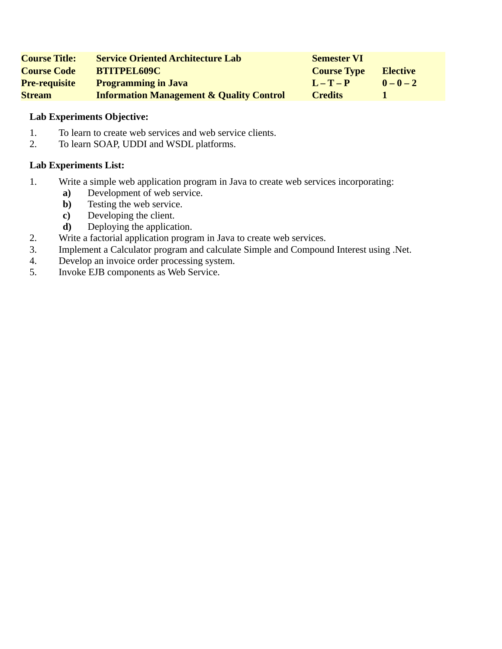| <b>Course Title:</b> | <b>Service Oriented Architecture Lab</b>            | <b>Semester VI</b> |                 |
|----------------------|-----------------------------------------------------|--------------------|-----------------|
| <b>Course Code</b>   | <b>BTITPEL609C</b>                                  | <b>Course Type</b> | <b>Elective</b> |
| <b>Pre-requisite</b> | <b>Programming in Java</b>                          | $L - T - P$        | $0 - 0 - 2$     |
| <b>Stream</b>        | <b>Information Management &amp; Quality Control</b> | <b>Credits</b>     |                 |

- 1. To learn to create web services and web service clients.
- 2. To learn SOAP, UDDI and WSDL platforms.

- 1. Write a simple web application program in Java to create web services incorporating:
	- **a)** Development of web service.
	- **b**) Testing the web service.
	- **c)** Developing the client.
	- **d)** Deploying the application.
- 2. Write a factorial application program in Java to create web services.
- 3. Implement a Calculator program and calculate Simple and Compound Interest using .Net.
- 4. Develop an invoice order processing system.
- 5. Invoke EJB components as Web Service.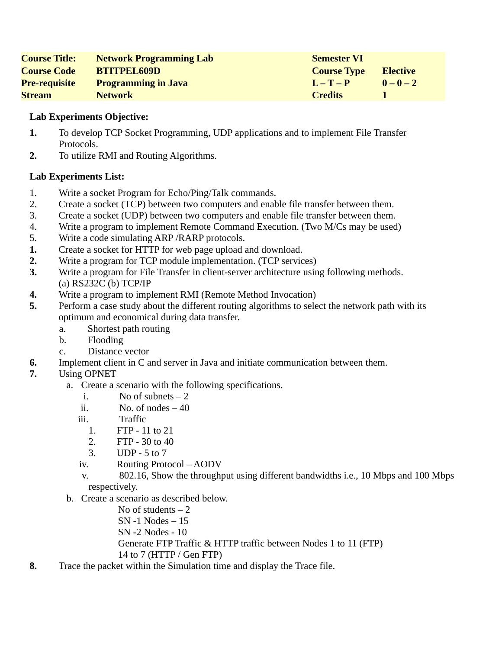| <b>Course Title:</b> | <b>Network Programming Lab</b> | <b>Semester VI</b> |                 |
|----------------------|--------------------------------|--------------------|-----------------|
| <b>Course Code</b>   | <b>BTITPEL609D</b>             | <b>Course Type</b> | <b>Elective</b> |
| <b>Pre-requisite</b> | <b>Programming in Java</b>     | $I - T - P$        | $0 - 0 - 2$     |
| <b>Stream</b>        | <b>Network</b>                 | <b>Credits</b>     |                 |

- **1.** To develop TCP Socket Programming, UDP applications and to implement File Transfer Protocols.
- **2.** To utilize RMI and Routing Algorithms.

- 1. Write a socket Program for Echo/Ping/Talk commands.
- 2. Create a socket (TCP) between two computers and enable file transfer between them.
- 3. Create a socket (UDP) between two computers and enable file transfer between them.
- 4. Write a program to implement Remote Command Execution. (Two M/Cs may be used)
- 5. Write a code simulating ARP /RARP protocols.
- **1.** Create a socket for HTTP for web page upload and download.
- **2.** Write a program for TCP module implementation. (TCP services)
- **3.** Write a program for File Transfer in client-server architecture using following methods. (a) RS232C (b) TCP/IP
- **4.** Write a program to implement RMI (Remote Method Invocation)
- **5.** Perform a case study about the different routing algorithms to select the network path with its optimum and economical during data transfer.
	- a. Shortest path routing
	- b. Flooding
	- c. Distance vector
- **6.** Implement client in C and server in Java and initiate communication between them.
- **7.** Using OPNET
	- a. Create a scenario with the following specifications.
		- i. No of subnets 2
		- ii.  $No. of nodes 40$
		- iii. Traffic
			- 1. FTP 11 to 21
			- 2. FTP 30 to 40
			- 3. UDP 5 to 7
		- iv. Routing Protocol AODV
		- v. 802.16, Show the throughput using different bandwidths i.e., 10 Mbps and 100 Mbps respectively.
	- b. Create a scenario as described below.
		- No of students  $-2$
		- SN -1 Nodes 15
		- SN -2 Nodes 10
		- Generate FTP Traffic & HTTP traffic between Nodes 1 to 11 (FTP)
		- 14 to 7 (HTTP / Gen FTP)
- **8.** Trace the packet within the Simulation time and display the Trace file.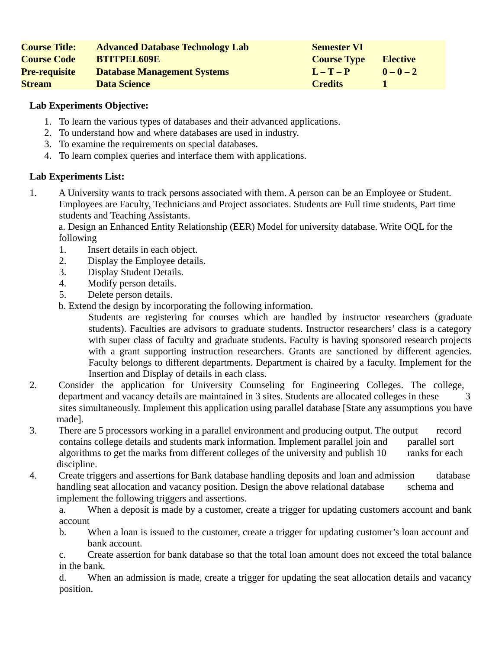| <b>Course Title:</b> | <b>Advanced Database Technology Lab</b> | <b>Semester VI</b> |                 |
|----------------------|-----------------------------------------|--------------------|-----------------|
| <b>Course Code</b>   | <b>BTITPEL609E</b>                      | <b>Course Type</b> | <b>Elective</b> |
| <b>Pre-requisite</b> | <b>Database Management Systems</b>      | $I - T - P$        | $0 - 0 - 2$     |
| <b>Stream</b>        | <b>Data Science</b>                     | <b>Credits</b>     |                 |

- 1. To learn the various types of databases and their advanced applications.
- 2. To understand how and where databases are used in industry.
- 3. To examine the requirements on special databases.
- 4. To learn complex queries and interface them with applications.

# **Lab Experiments List:**

1. A University wants to track persons associated with them. A person can be an Employee or Student. Employees are Faculty, Technicians and Project associates. Students are Full time students, Part time students and Teaching Assistants.

a. Design an Enhanced Entity Relationship (EER) Model for university database. Write OQL for the following

- 1. Insert details in each object.
- 2. Display the Employee details.
- 3. Display Student Details.
- 4. Modify person details.
- 5. Delete person details.
- b. Extend the design by incorporating the following information.

Students are registering for courses which are handled by instructor researchers (graduate students). Faculties are advisors to graduate students. Instructor researchers' class is a category with super class of faculty and graduate students. Faculty is having sponsored research projects with a grant supporting instruction researchers. Grants are sanctioned by different agencies. Faculty belongs to different departments. Department is chaired by a faculty. Implement for the Insertion and Display of details in each class.

- 2. Consider the application for University Counseling for Engineering Colleges. The college, department and vacancy details are maintained in 3 sites. Students are allocated colleges in these 3 sites simultaneously. Implement this application using parallel database [State any assumptions you have made].
- 3. There are 5 processors working in a parallel environment and producing output. The output record contains college details and students mark information. Implement parallel join and parallel sort algorithms to get the marks from different colleges of the university and publish 10 ranks for each discipline.
- 4. Create triggers and assertions for Bank database handling deposits and loan and admission database handling seat allocation and vacancy position. Design the above relational database schema and implement the following triggers and assertions.

a. When a deposit is made by a customer, create a trigger for updating customers account and bank account

b. When a loan is issued to the customer, create a trigger for updating customer's loan account and bank account.

c. Create assertion for bank database so that the total loan amount does not exceed the total balance in the bank.

d. When an admission is made, create a trigger for updating the seat allocation details and vacancy position.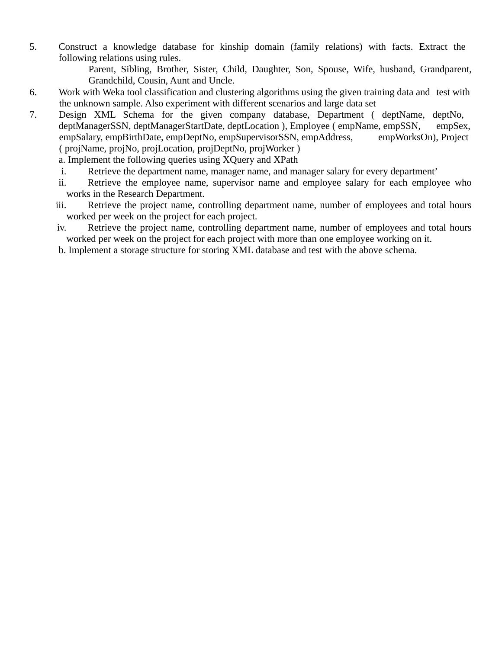5. Construct a knowledge database for kinship domain (family relations) with facts. Extract the following relations using rules.

Parent, Sibling, Brother, Sister, Child, Daughter, Son, Spouse, Wife, husband, Grandparent, Grandchild, Cousin, Aunt and Uncle.

- 6. Work with Weka tool classification and clustering algorithms using the given training data and test with the unknown sample. Also experiment with different scenarios and large data set
- 7. Design XML Schema for the given company database, Department ( deptName, deptNo, deptManagerSSN, deptManagerStartDate, deptLocation), Employee (empName, empSSN, empSex, empSalary, empBirthDate, empDeptNo, empSupervisorSSN, empAddress, empWorksOn), Project ( projName, projNo, projLocation, projDeptNo, projWorker )

a. Implement the following queries using XQuery and XPath

- i. Retrieve the department name, manager name, and manager salary for every department'
- ii. Retrieve the employee name, supervisor name and employee salary for each employee who works in the Research Department.
- iii. Retrieve the project name, controlling department name, number of employees and total hours worked per week on the project for each project.
- iv. Retrieve the project name, controlling department name, number of employees and total hours worked per week on the project for each project with more than one employee working on it.
- b. Implement a storage structure for storing XML database and test with the above schema.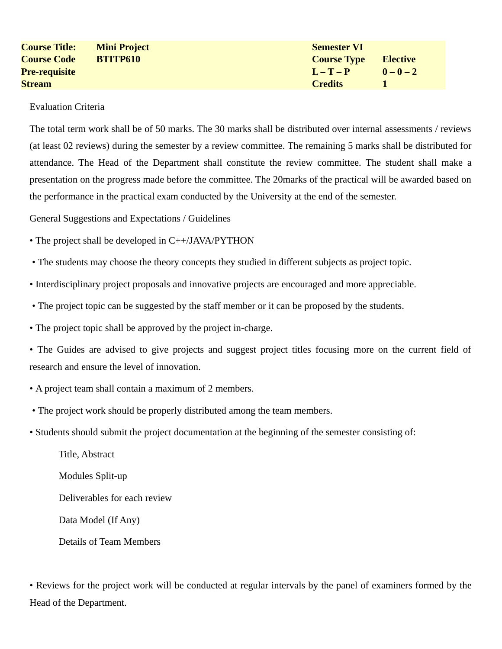| <b>Course Title:</b> | <b>Mini Project</b> | <b>Semester VI</b> |             |
|----------------------|---------------------|--------------------|-------------|
| <b>Course Code</b>   | <b>BTITP610</b>     | <b>Course Type</b> | Elective    |
| <b>Pre-requisite</b> |                     | $L - T - P$        | $0 - 0 - 2$ |
| <b>Stream</b>        |                     | <b>Credits</b>     |             |

#### Evaluation Criteria

The total term work shall be of 50 marks. The 30 marks shall be distributed over internal assessments / reviews (at least 02 reviews) during the semester by a review committee. The remaining 5 marks shall be distributed for attendance. The Head of the Department shall constitute the review committee. The student shall make a presentation on the progress made before the committee. The 20marks of the practical will be awarded based on the performance in the practical exam conducted by the University at the end of the semester.

General Suggestions and Expectations / Guidelines

- The project shall be developed in C++/JAVA/PYTHON
- The students may choose the theory concepts they studied in different subjects as project topic.
- Interdisciplinary project proposals and innovative projects are encouraged and more appreciable.
- The project topic can be suggested by the staff member or it can be proposed by the students.
- The project topic shall be approved by the project in-charge.
- The Guides are advised to give projects and suggest project titles focusing more on the current field of research and ensure the level of innovation.
- A project team shall contain a maximum of 2 members.
- The project work should be properly distributed among the team members.
- Students should submit the project documentation at the beginning of the semester consisting of:

Title, Abstract Modules Split-up Deliverables for each review Data Model (If Any) Details of Team Members

• Reviews for the project work will be conducted at regular intervals by the panel of examiners formed by the Head of the Department.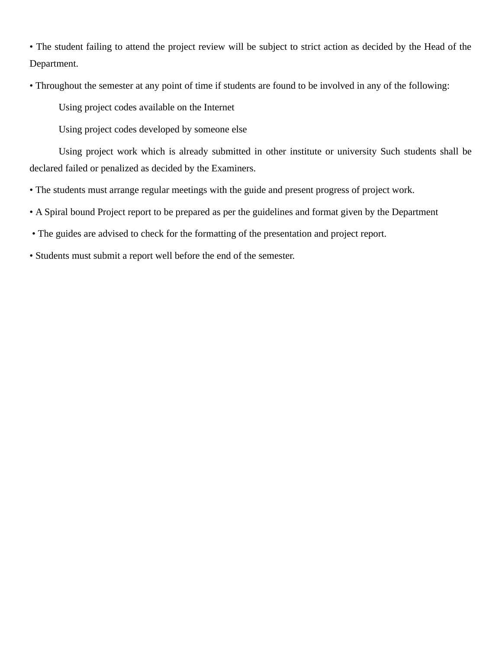• The student failing to attend the project review will be subject to strict action as decided by the Head of the Department.

• Throughout the semester at any point of time if students are found to be involved in any of the following:

Using project codes available on the Internet

Using project codes developed by someone else

Using project work which is already submitted in other institute or university Such students shall be declared failed or penalized as decided by the Examiners.

- The students must arrange regular meetings with the guide and present progress of project work.
- A Spiral bound Project report to be prepared as per the guidelines and format given by the Department
- The guides are advised to check for the formatting of the presentation and project report.
- Students must submit a report well before the end of the semester.